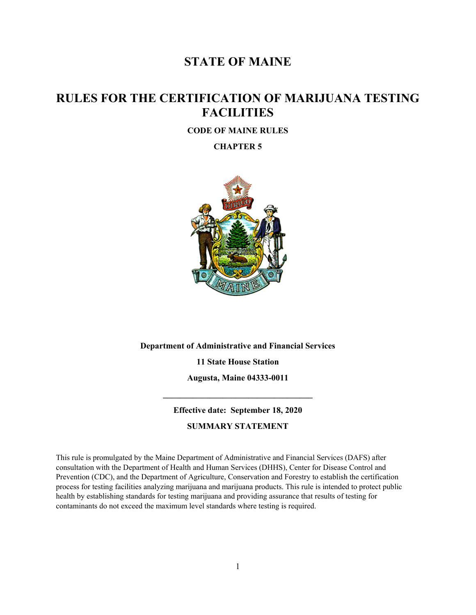## **STATE OF MAINE**

# **RULES FOR THE CERTIFICATION OF MARIJUANA TESTING FACILITIES**

### **CODE OF MAINE RULES**

**CHAPTER 5**



**Department of Administrative and Financial Services 11 State House Station**

> **Augusta, Maine 04333-0011 \_\_\_\_\_\_\_\_\_\_\_\_\_\_\_\_\_\_\_\_\_\_\_\_\_\_\_\_\_\_\_\_\_\_\_**

**Effective date: September 18, 2020 SUMMARY STATEMENT**

This rule is promulgated by the Maine Department of Administrative and Financial Services (DAFS) after consultation with the Department of Health and Human Services (DHHS), Center for Disease Control and Prevention (CDC), and the Department of Agriculture, Conservation and Forestry to establish the certification process for testing facilities analyzing marijuana and marijuana products. This rule is intended to protect public health by establishing standards for testing marijuana and providing assurance that results of testing for contaminants do not exceed the maximum level standards where testing is required.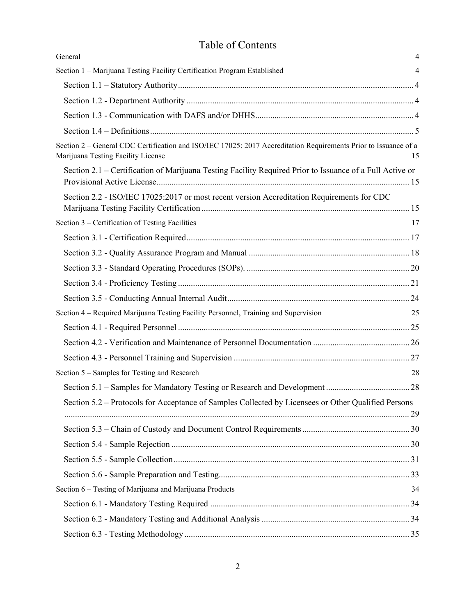# Table of Contents

| General                                                                                                                                               | $\overline{4}$ |
|-------------------------------------------------------------------------------------------------------------------------------------------------------|----------------|
| Section 1 - Marijuana Testing Facility Certification Program Established                                                                              | 4              |
|                                                                                                                                                       |                |
|                                                                                                                                                       |                |
|                                                                                                                                                       |                |
|                                                                                                                                                       |                |
| Section 2 - General CDC Certification and ISO/IEC 17025: 2017 Accreditation Requirements Prior to Issuance of a<br>Marijuana Testing Facility License | 15             |
| Section 2.1 – Certification of Marijuana Testing Facility Required Prior to Issuance of a Full Active or                                              |                |
| Section 2.2 - ISO/IEC 17025:2017 or most recent version Accreditation Requirements for CDC                                                            |                |
| Section 3 – Certification of Testing Facilities                                                                                                       | 17             |
|                                                                                                                                                       |                |
|                                                                                                                                                       |                |
|                                                                                                                                                       |                |
|                                                                                                                                                       |                |
|                                                                                                                                                       |                |
| Section 4 - Required Marijuana Testing Facility Personnel, Training and Supervision                                                                   | 25             |
|                                                                                                                                                       |                |
|                                                                                                                                                       |                |
|                                                                                                                                                       |                |
| Section 5 – Samples for Testing and Research                                                                                                          | 28             |
|                                                                                                                                                       |                |
| Section 5.2 – Protocols for Acceptance of Samples Collected by Licensees or Other Qualified Persons                                                   |                |
|                                                                                                                                                       |                |
|                                                                                                                                                       |                |
|                                                                                                                                                       |                |
|                                                                                                                                                       |                |
| Section 6 - Testing of Marijuana and Marijuana Products                                                                                               | 34             |
|                                                                                                                                                       |                |
|                                                                                                                                                       |                |
|                                                                                                                                                       |                |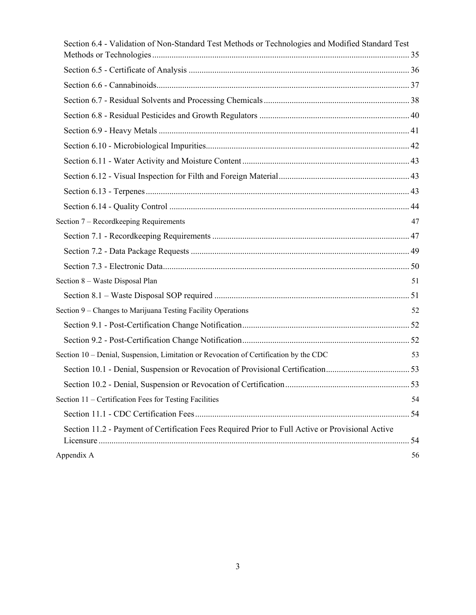| Section 6.4 - Validation of Non-Standard Test Methods or Technologies and Modified Standard Test |                                                      |
|--------------------------------------------------------------------------------------------------|------------------------------------------------------|
|                                                                                                  |                                                      |
|                                                                                                  |                                                      |
|                                                                                                  |                                                      |
|                                                                                                  |                                                      |
|                                                                                                  |                                                      |
|                                                                                                  |                                                      |
|                                                                                                  |                                                      |
|                                                                                                  |                                                      |
|                                                                                                  |                                                      |
|                                                                                                  |                                                      |
|                                                                                                  |                                                      |
|                                                                                                  | 47                                                   |
|                                                                                                  |                                                      |
|                                                                                                  |                                                      |
|                                                                                                  |                                                      |
| Section 8 - Waste Disposal Plan                                                                  | 51                                                   |
|                                                                                                  |                                                      |
| Section 9 – Changes to Marijuana Testing Facility Operations                                     | 52                                                   |
|                                                                                                  |                                                      |
|                                                                                                  |                                                      |
| Section 10 – Denial, Suspension, Limitation or Revocation of Certification by the CDC            | 53                                                   |
|                                                                                                  |                                                      |
|                                                                                                  |                                                      |
| Section 11 – Certification Fees for Testing Facilities                                           | 54                                                   |
|                                                                                                  |                                                      |
| Section 11.2 - Payment of Certification Fees Required Prior to Full Active or Provisional Active |                                                      |
|                                                                                                  | 56                                                   |
|                                                                                                  | Section 7 – Recordkeeping Requirements<br>Appendix A |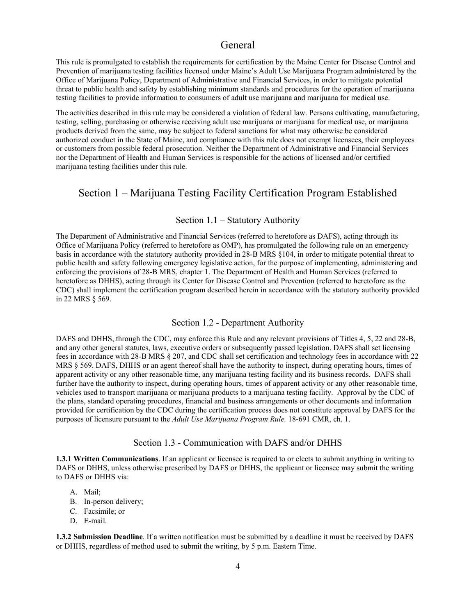## General

<span id="page-3-0"></span>This rule is promulgated to establish the requirements for certification by the Maine Center for Disease Control and Prevention of marijuana testing facilities licensed under Maine's Adult Use Marijuana Program administered by the Office of Marijuana Policy, Department of Administrative and Financial Services, in order to mitigate potential threat to public health and safety by establishing minimum standards and procedures for the operation of marijuana testing facilities to provide information to consumers of adult use marijuana and marijuana for medical use.

The activities described in this rule may be considered a violation of federal law. Persons cultivating, manufacturing, testing, selling, purchasing or otherwise receiving adult use marijuana or marijuana for medical use, or marijuana products derived from the same, may be subject to federal sanctions for what may otherwise be considered authorized conduct in the State of Maine, and compliance with this rule does not exempt licensees, their employees or customers from possible federal prosecution. Neither the Department of Administrative and Financial Services nor the Department of Health and Human Services is responsible for the actions of licensed and/or certified marijuana testing facilities under this rule.

## <span id="page-3-1"></span>Section 1 – Marijuana Testing Facility Certification Program Established

### Section 1.1 – Statutory Authority

<span id="page-3-2"></span>The Department of Administrative and Financial Services (referred to heretofore as DAFS), acting through its Office of Marijuana Policy (referred to heretofore as OMP), has promulgated the following rule on an emergency basis in accordance with the statutory authority provided in 28-B MRS §104, in order to mitigate potential threat to public health and safety following emergency legislative action, for the purpose of implementing, administering and enforcing the provisions of 28-B MRS, chapter 1. The Department of Health and Human Services (referred to heretofore as DHHS), acting through its Center for Disease Control and Prevention (referred to heretofore as the CDC) shall implement the certification program described herein in accordance with the statutory authority provided in 22 MRS § 569.

### Section 1.2 - Department Authority

<span id="page-3-3"></span>DAFS and DHHS, through the CDC, may enforce this Rule and any relevant provisions of Titles 4, 5, 22 and 28-B, and any other general statutes, laws, executive orders or subsequently passed legislation. DAFS shall set licensing fees in accordance with 28-B MRS § 207, and CDC shall set certification and technology fees in accordance with 22 MRS § 569. DAFS, DHHS or an agent thereof shall have the authority to inspect, during operating hours, times of apparent activity or any other reasonable time, any marijuana testing facility and its business records. DAFS shall further have the authority to inspect, during operating hours, times of apparent activity or any other reasonable time, vehicles used to transport marijuana or marijuana products to a marijuana testing facility. Approval by the CDC of the plans, standard operating procedures, financial and business arrangements or other documents and information provided for certification by the CDC during the certification process does not constitute approval by DAFS for the purposes of licensure pursuant to the *Adult Use Marijuana Program Rule,* 18-691 CMR, ch. 1.

### Section 1.3 - Communication with DAFS and/or DHHS

<span id="page-3-4"></span>**1.3.1 Written Communications**. If an applicant or licensee is required to or elects to submit anything in writing to DAFS or DHHS, unless otherwise prescribed by DAFS or DHHS, the applicant or licensee may submit the writing to DAFS or DHHS via:

- A. Mail;
- B. In-person delivery;
- C. Facsimile; or
- D. E-mail.

**1.3.2 Submission Deadline**. If a written notification must be submitted by a deadline it must be received by DAFS or DHHS, regardless of method used to submit the writing, by 5 p.m. Eastern Time.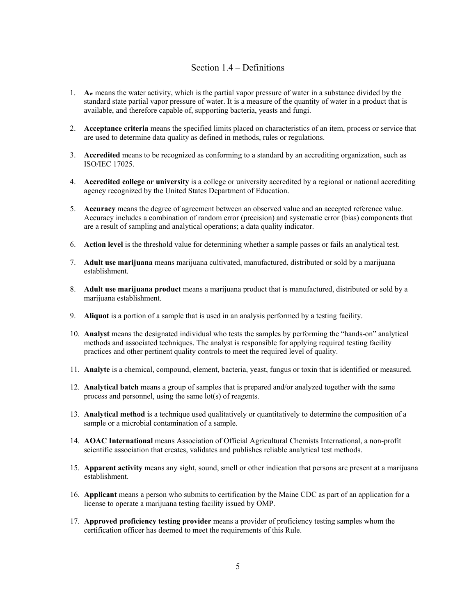### Section 1.4 – Definitions

- <span id="page-4-0"></span>1. **Aw** means the water activity, which is the partial vapor pressure of water in a substance divided by the standard state partial vapor pressure of water. It is a measure of the quantity of water in a product that is available, and therefore capable of, supporting bacteria, yeasts and fungi.
- 2. **Acceptance criteria** means the specified limits placed on characteristics of an item, process or service that are used to determine data quality as defined in methods, rules or regulations.
- 3. **Accredited** means to be recognized as conforming to a standard by an accrediting organization, such as ISO/IEC 17025.
- 4. **Accredited college or university** is a college or university accredited by a regional or national accrediting agency recognized by the United States Department of Education.
- 5. **Accuracy** means the degree of agreement between an observed value and an accepted reference value. Accuracy includes a combination of random error (precision) and systematic error (bias) components that are a result of sampling and analytical operations; a data quality indicator.
- 6. **Action level** is the threshold value for determining whether a sample passes or fails an analytical test.
- 7. **Adult use marijuana** means marijuana cultivated, manufactured, distributed or sold by a marijuana establishment.
- 8. **Adult use marijuana product** means a marijuana product that is manufactured, distributed or sold by a marijuana establishment.
- 9. **Aliquot** is a portion of a sample that is used in an analysis performed by a testing facility.
- 10. **Analyst** means the designated individual who tests the samples by performing the "hands-on" analytical methods and associated techniques. The analyst is responsible for applying required testing facility practices and other pertinent quality controls to meet the required level of quality.
- 11. **Analyte** is a chemical, compound, element, bacteria, yeast, fungus or toxin that is identified or measured.
- 12. **Analytical batch** means a group of samples that is prepared and/or analyzed together with the same process and personnel, using the same lot(s) of reagents.
- 13. **Analytical method** is a technique used qualitatively or quantitatively to determine the composition of a sample or a microbial contamination of a sample.
- 14. **AOAC International** means Association of Official Agricultural Chemists International, a non-profit scientific association that creates, validates and publishes reliable analytical test methods.
- 15. **Apparent activity** means any sight, sound, smell or other indication that persons are present at a marijuana establishment.
- 16. **Applicant** means a person who submits to certification by the Maine CDC as part of an application for a license to operate a marijuana testing facility issued by OMP.
- 17. **Approved proficiency testing provider** means a provider of proficiency testing samples whom the certification officer has deemed to meet the requirements of this Rule.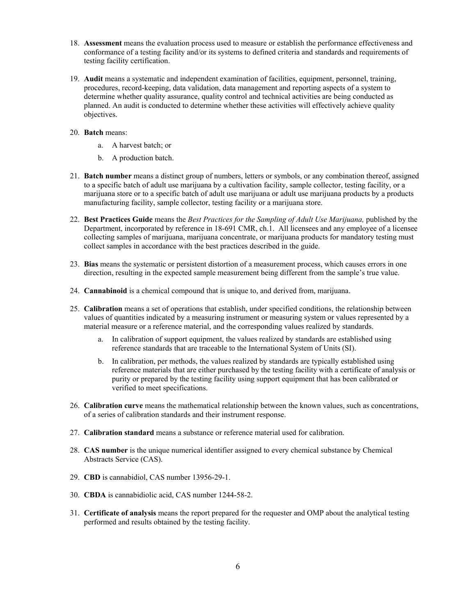- 18. **Assessment** means the evaluation process used to measure or establish the performance effectiveness and conformance of a testing facility and/or its systems to defined criteria and standards and requirements of testing facility certification.
- 19. **Audit** means a systematic and independent examination of facilities, equipment, personnel, training, procedures, record-keeping, data validation, data management and reporting aspects of a system to determine whether quality assurance, quality control and technical activities are being conducted as planned. An audit is conducted to determine whether these activities will effectively achieve quality objectives.
- 20. **Batch** means:
	- a. A harvest batch; or
	- b. A production batch.
- 21. **Batch number** means a distinct group of numbers, letters or symbols, or any combination thereof, assigned to a specific batch of adult use marijuana by a cultivation facility, sample collector, testing facility, or a marijuana store or to a specific batch of adult use marijuana or adult use marijuana products by a products manufacturing facility, sample collector, testing facility or a marijuana store.
- 22. **Best Practices Guide** means the *Best Practices for the Sampling of Adult Use Marijuana,* published by the Department, incorporated by reference in 18-691 CMR, ch.1. All licensees and any employee of a licensee collecting samples of marijuana, marijuana concentrate, or marijuana products for mandatory testing must collect samples in accordance with the best practices described in the guide.
- 23. **Bias** means the systematic or persistent distortion of a measurement process, which causes errors in one direction, resulting in the expected sample measurement being different from the sample's true value.
- 24. **Cannabinoid** is a chemical compound that is unique to, and derived from, marijuana.
- 25. **Calibration** means a set of operations that establish, under specified conditions, the relationship between values of quantities indicated by a measuring instrument or measuring system or values represented by a material measure or a reference material, and the corresponding values realized by standards.
	- a. In calibration of support equipment, the values realized by standards are established using reference standards that are traceable to the International System of Units (SI).
	- b. In calibration, per methods, the values realized by standards are typically established using reference materials that are either purchased by the testing facility with a certificate of analysis or purity or prepared by the testing facility using support equipment that has been calibrated or verified to meet specifications.
- 26. **Calibration curve** means the mathematical relationship between the known values, such as concentrations, of a series of calibration standards and their instrument response.
- 27. **Calibration standard** means a substance or reference material used for calibration.
- 28. **CAS number** is the unique numerical identifier assigned to every chemical substance by Chemical Abstracts Service (CAS).
- 29. **CBD** is cannabidiol, CAS number 13956-29-1.
- 30. **CBDA** is cannabidiolic acid, CAS number 1244-58-2.
- 31. **Certificate of analysis** means the report prepared for the requester and OMP about the analytical testing performed and results obtained by the testing facility.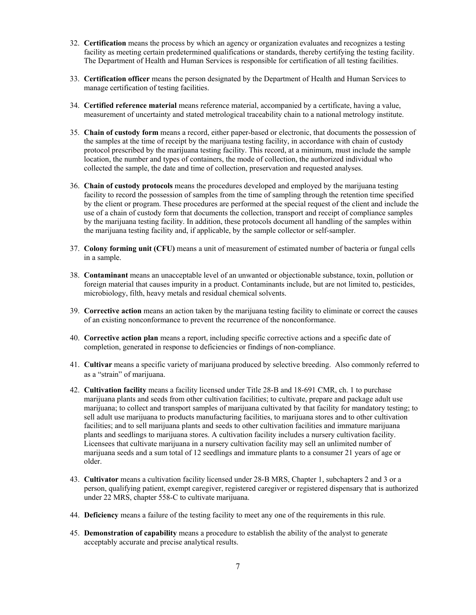- 32. **Certification** means the process by which an agency or organization evaluates and recognizes a testing facility as meeting certain predetermined qualifications or standards, thereby certifying the testing facility. The Department of Health and Human Services is responsible for certification of all testing facilities.
- 33. **Certification officer** means the person designated by the Department of Health and Human Services to manage certification of testing facilities.
- 34. **Certified reference material** means reference material, accompanied by a certificate, having a value, measurement of uncertainty and stated metrological traceability chain to a national metrology institute.
- 35. **Chain of custody form** means a record, either paper-based or electronic, that documents the possession of the samples at the time of receipt by the marijuana testing facility, in accordance with chain of custody protocol prescribed by the marijuana testing facility. This record, at a minimum, must include the sample location, the number and types of containers, the mode of collection, the authorized individual who collected the sample, the date and time of collection, preservation and requested analyses.
- 36. **Chain of custody protocols** means the procedures developed and employed by the marijuana testing facility to record the possession of samples from the time of sampling through the retention time specified by the client or program. These procedures are performed at the special request of the client and include the use of a chain of custody form that documents the collection, transport and receipt of compliance samples by the marijuana testing facility. In addition, these protocols document all handling of the samples within the marijuana testing facility and, if applicable, by the sample collector or self-sampler.
- 37. **Colony forming unit (CFU)** means a unit of measurement of estimated number of bacteria or fungal cells in a sample.
- 38. **Contaminant** means an unacceptable level of an unwanted or objectionable substance, toxin, pollution or foreign material that causes impurity in a product. Contaminants include, but are not limited to, pesticides, microbiology, filth, heavy metals and residual chemical solvents.
- 39. **Corrective action** means an action taken by the marijuana testing facility to eliminate or correct the causes of an existing nonconformance to prevent the recurrence of the nonconformance.
- 40. **Corrective action plan** means a report, including specific corrective actions and a specific date of completion, generated in response to deficiencies or findings of non-compliance.
- 41. **Cultivar** means a specific variety of marijuana produced by selective breeding. Also commonly referred to as a "strain" of marijuana.
- 42. **Cultivation facility** means a facility licensed under Title 28-B and 18-691 CMR, ch. 1 to purchase marijuana plants and seeds from other cultivation facilities; to cultivate, prepare and package adult use marijuana; to collect and transport samples of marijuana cultivated by that facility for mandatory testing; to sell adult use marijuana to products manufacturing facilities, to marijuana stores and to other cultivation facilities; and to sell marijuana plants and seeds to other cultivation facilities and immature marijuana plants and seedlings to marijuana stores. A cultivation facility includes a nursery cultivation facility. Licensees that cultivate marijuana in a nursery cultivation facility may sell an unlimited number of marijuana seeds and a sum total of 12 seedlings and immature plants to a consumer 21 years of age or older.
- 43. **Cultivator** means a cultivation facility licensed under 28-B MRS, Chapter 1, subchapters 2 and 3 or a person, qualifying patient, exempt caregiver, registered caregiver or registered dispensary that is authorized under 22 MRS, chapter 558-C to cultivate marijuana.
- 44. **Deficiency** means a failure of the testing facility to meet any one of the requirements in this rule.
- 45. **Demonstration of capability** means a procedure to establish the ability of the analyst to generate acceptably accurate and precise analytical results.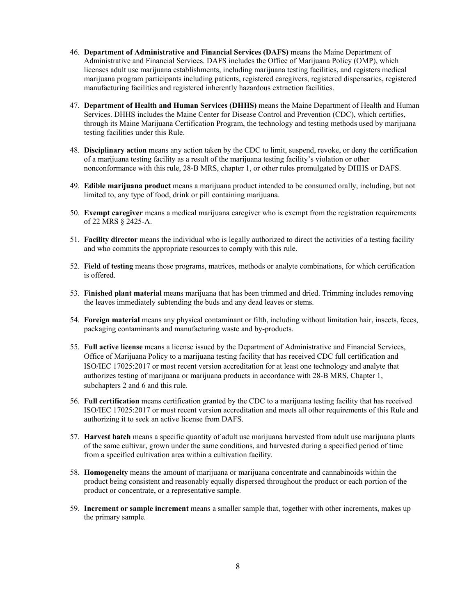- 46. **Department of Administrative and Financial Services (DAFS)** means the Maine Department of Administrative and Financial Services. DAFS includes the Office of Marijuana Policy (OMP), which licenses adult use marijuana establishments, including marijuana testing facilities, and registers medical marijuana program participants including patients, registered caregivers, registered dispensaries, registered manufacturing facilities and registered inherently hazardous extraction facilities.
- 47. **Department of Health and Human Services (DHHS)** means the Maine Department of Health and Human Services. DHHS includes the Maine Center for Disease Control and Prevention (CDC), which certifies, through its Maine Marijuana Certification Program, the technology and testing methods used by marijuana testing facilities under this Rule.
- 48. **Disciplinary action** means any action taken by the CDC to limit, suspend, revoke, or deny the certification of a marijuana testing facility as a result of the marijuana testing facility's violation or other nonconformance with this rule, 28-B MRS, chapter 1, or other rules promulgated by DHHS or DAFS.
- 49. **Edible marijuana product** means a marijuana product intended to be consumed orally, including, but not limited to, any type of food, drink or pill containing marijuana.
- 50. **Exempt caregiver** means a medical marijuana caregiver who is exempt from the registration requirements of 22 MRS § 2425-A.
- 51. **Facility director** means the individual who is legally authorized to direct the activities of a testing facility and who commits the appropriate resources to comply with this rule.
- 52. **Field of testing** means those programs, matrices, methods or analyte combinations, for which certification is offered.
- 53. **Finished plant material** means marijuana that has been trimmed and dried. Trimming includes removing the leaves immediately subtending the buds and any dead leaves or stems.
- 54. **Foreign material** means any physical contaminant or filth, including without limitation hair, insects, feces, packaging contaminants and manufacturing waste and by-products.
- 55. **Full active license** means a license issued by the Department of Administrative and Financial Services, Office of Marijuana Policy to a marijuana testing facility that has received CDC full certification and ISO/IEC 17025:2017 or most recent version accreditation for at least one technology and analyte that authorizes testing of marijuana or marijuana products in accordance with 28-B MRS, Chapter 1, subchapters 2 and 6 and this rule.
- 56. **Full certification** means certification granted by the CDC to a marijuana testing facility that has received ISO/IEC 17025:2017 or most recent version accreditation and meets all other requirements of this Rule and authorizing it to seek an active license from DAFS.
- 57. **Harvest batch** means a specific quantity of adult use marijuana harvested from adult use marijuana plants of the same cultivar, grown under the same conditions, and harvested during a specified period of time from a specified cultivation area within a cultivation facility.
- 58. **Homogeneity** means the amount of marijuana or marijuana concentrate and cannabinoids within the product being consistent and reasonably equally dispersed throughout the product or each portion of the product or concentrate, or a representative sample.
- 59. **Increment or sample increment** means a smaller sample that, together with other increments, makes up the primary sample.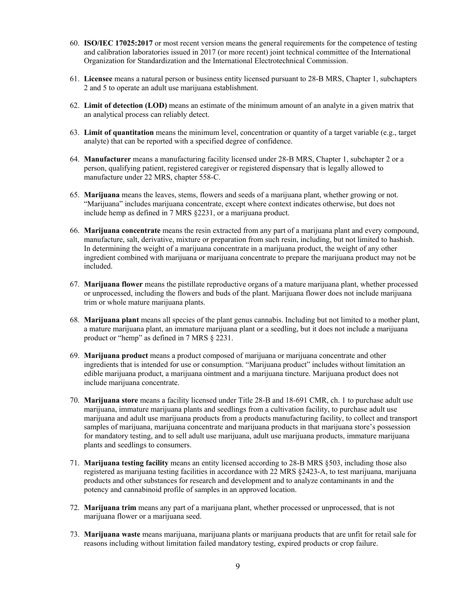- 60. **ISO/IEC 17025:2017** or most recent version means the general requirements for the competence of testing and calibration laboratories issued in 2017 (or more recent) joint technical committee of the International Organization for Standardization and the International Electrotechnical Commission.
- 61. **Licensee** means a natural person or business entity licensed pursuant to 28-B MRS, Chapter 1, subchapters 2 and 5 to operate an adult use marijuana establishment.
- 62. **Limit of detection (LOD)** means an estimate of the minimum amount of an analyte in a given matrix that an analytical process can reliably detect.
- 63. **Limit of quantitation** means the minimum level, concentration or quantity of a target variable (e.g., target analyte) that can be reported with a specified degree of confidence.
- 64. **Manufacturer** means a manufacturing facility licensed under 28-B MRS, Chapter 1, subchapter 2 or a person, qualifying patient, registered caregiver or registered dispensary that is legally allowed to manufacture under 22 MRS, chapter 558-C.
- 65. **Marijuana** means the leaves, stems, flowers and seeds of a marijuana plant, whether growing or not. "Marijuana" includes marijuana concentrate, except where context indicates otherwise, but does not include hemp as defined in 7 MRS §2231, or a marijuana product.
- 66. **Marijuana concentrate** means the resin extracted from any part of a marijuana plant and every compound, manufacture, salt, derivative, mixture or preparation from such resin, including, but not limited to hashish. In determining the weight of a marijuana concentrate in a marijuana product, the weight of any other ingredient combined with marijuana or marijuana concentrate to prepare the marijuana product may not be included.
- 67. **Marijuana flower** means the pistillate reproductive organs of a mature marijuana plant, whether processed or unprocessed, including the flowers and buds of the plant. Marijuana flower does not include marijuana trim or whole mature marijuana plants.
- 68. **Marijuana plant** means all species of the plant genus cannabis. Including but not limited to a mother plant, a mature marijuana plant, an immature marijuana plant or a seedling, but it does not include a marijuana product or "hemp" as defined in 7 MRS § 2231.
- 69. **Marijuana product** means a product composed of marijuana or marijuana concentrate and other ingredients that is intended for use or consumption. "Marijuana product" includes without limitation an edible marijuana product, a marijuana ointment and a marijuana tincture. Marijuana product does not include marijuana concentrate.
- 70. **Marijuana store** means a facility licensed under Title 28-B and 18-691 CMR, ch. 1 to purchase adult use marijuana, immature marijuana plants and seedlings from a cultivation facility, to purchase adult use marijuana and adult use marijuana products from a products manufacturing facility, to collect and transport samples of marijuana, marijuana concentrate and marijuana products in that marijuana store's possession for mandatory testing, and to sell adult use marijuana, adult use marijuana products, immature marijuana plants and seedlings to consumers.
- 71. **Marijuana testing facility** means an entity licensed according to 28-B MRS §503, including those also registered as marijuana testing facilities in accordance with 22 MRS §2423-A, to test marijuana, marijuana products and other substances for research and development and to analyze contaminants in and the potency and cannabinoid profile of samples in an approved location.
- 72. **Marijuana trim** means any part of a marijuana plant, whether processed or unprocessed, that is not marijuana flower or a marijuana seed.
- 73. **Marijuana waste** means marijuana, marijuana plants or marijuana products that are unfit for retail sale for reasons including without limitation failed mandatory testing, expired products or crop failure.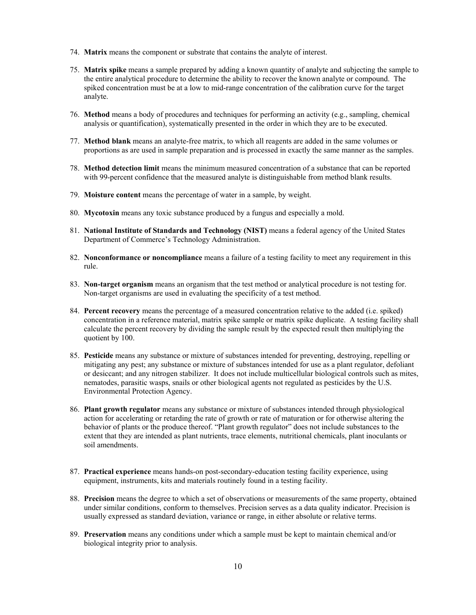- 74. **Matrix** means the component or substrate that contains the analyte of interest.
- 75. **Matrix spike** means a sample prepared by adding a known quantity of analyte and subjecting the sample to the entire analytical procedure to determine the ability to recover the known analyte or compound. The spiked concentration must be at a low to mid-range concentration of the calibration curve for the target analyte.
- 76. **Method** means a body of procedures and techniques for performing an activity (e.g., sampling, chemical analysis or quantification), systematically presented in the order in which they are to be executed.
- 77. **Method blank** means an analyte-free matrix, to which all reagents are added in the same volumes or proportions as are used in sample preparation and is processed in exactly the same manner as the samples.
- 78. **Method detection limit** means the minimum measured concentration of a substance that can be reported with 99-percent confidence that the measured analyte is distinguishable from method blank results.
- 79. **Moisture content** means the percentage of water in a sample, by weight.
- 80. **Mycotoxin** means any toxic substance produced by a fungus and especially a mold.
- 81. **National Institute of Standards and Technology (NIST)** means a federal agency of the United States Department of Commerce's Technology Administration.
- 82. **Nonconformance or noncompliance** means a failure of a testing facility to meet any requirement in this rule.
- 83. **Non-target organism** means an organism that the test method or analytical procedure is not testing for. Non-target organisms are used in evaluating the specificity of a test method.
- 84. **Percent recovery** means the percentage of a measured concentration relative to the added (i.e. spiked) concentration in a reference material, matrix spike sample or matrix spike duplicate. A testing facility shall calculate the percent recovery by dividing the sample result by the expected result then multiplying the quotient by 100.
- 85. **Pesticide** means any substance or mixture of substances intended for preventing, destroying, repelling or mitigating any pest; any substance or mixture of substances intended for use as a plant regulator, defoliant or desiccant; and any nitrogen stabilizer. It does not include multicellular biological controls such as mites, nematodes, parasitic wasps, snails or other biological agents not regulated as pesticides by the U.S. Environmental Protection Agency.
- 86. **Plant growth regulator** means any substance or mixture of substances intended through physiological action for accelerating or retarding the rate of growth or rate of maturation or for otherwise altering the behavior of plants or the produce thereof. "Plant growth regulator" does not include substances to the extent that they are intended as plant nutrients, trace elements, nutritional chemicals, plant inoculants or soil amendments.
- 87. **Practical experience** means hands-on post-secondary-education testing facility experience, using equipment, instruments, kits and materials routinely found in a testing facility.
- 88. **Precision** means the degree to which a set of observations or measurements of the same property, obtained under similar conditions, conform to themselves. Precision serves as a data quality indicator. Precision is usually expressed as standard deviation, variance or range, in either absolute or relative terms.
- 89. **Preservation** means any conditions under which a sample must be kept to maintain chemical and/or biological integrity prior to analysis.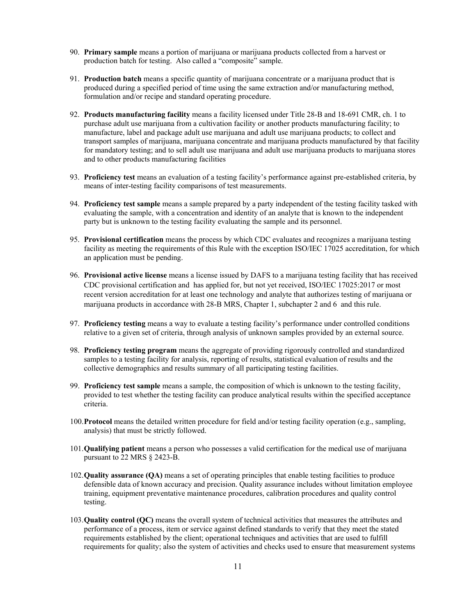- 90. **Primary sample** means a portion of marijuana or marijuana products collected from a harvest or production batch for testing. Also called a "composite" sample.
- 91. **Production batch** means a specific quantity of marijuana concentrate or a marijuana product that is produced during a specified period of time using the same extraction and/or manufacturing method, formulation and/or recipe and standard operating procedure.
- 92. **Products manufacturing facility** means a facility licensed under Title 28-B and 18-691 CMR, ch. 1 to purchase adult use marijuana from a cultivation facility or another products manufacturing facility; to manufacture, label and package adult use marijuana and adult use marijuana products; to collect and transport samples of marijuana, marijuana concentrate and marijuana products manufactured by that facility for mandatory testing; and to sell adult use marijuana and adult use marijuana products to marijuana stores and to other products manufacturing facilities
- 93. **Proficiency test** means an evaluation of a testing facility's performance against pre-established criteria, by means of inter-testing facility comparisons of test measurements.
- 94. **Proficiency test sample** means a sample prepared by a party independent of the testing facility tasked with evaluating the sample, with a concentration and identity of an analyte that is known to the independent party but is unknown to the testing facility evaluating the sample and its personnel.
- 95. **Provisional certification** means the process by which CDC evaluates and recognizes a marijuana testing facility as meeting the requirements of this Rule with the exception ISO/IEC 17025 accreditation, for which an application must be pending.
- 96. **Provisional active license** means a license issued by DAFS to a marijuana testing facility that has received CDC provisional certification and has applied for, but not yet received, ISO/IEC 17025:2017 or most recent version accreditation for at least one technology and analyte that authorizes testing of marijuana or marijuana products in accordance with 28-B MRS, Chapter 1, subchapter 2 and 6 and this rule.
- 97. **Proficiency testing** means a way to evaluate a testing facility's performance under controlled conditions relative to a given set of criteria, through analysis of unknown samples provided by an external source.
- 98. **Proficiency testing program** means the aggregate of providing rigorously controlled and standardized samples to a testing facility for analysis, reporting of results, statistical evaluation of results and the collective demographics and results summary of all participating testing facilities.
- 99. **Proficiency test sample** means a sample, the composition of which is unknown to the testing facility, provided to test whether the testing facility can produce analytical results within the specified acceptance criteria.
- 100.**Protocol** means the detailed written procedure for field and/or testing facility operation (e.g., sampling, analysis) that must be strictly followed.
- 101.**Qualifying patient** means a person who possesses a valid certification for the medical use of marijuana pursuant to 22 MRS § 2423-B.
- 102.**Quality assurance (QA)** means a set of operating principles that enable testing facilities to produce defensible data of known accuracy and precision. Quality assurance includes without limitation employee training, equipment preventative maintenance procedures, calibration procedures and quality control testing.
- 103.**Quality control (QC)** means the overall system of technical activities that measures the attributes and performance of a process, item or service against defined standards to verify that they meet the stated requirements established by the client; operational techniques and activities that are used to fulfill requirements for quality; also the system of activities and checks used to ensure that measurement systems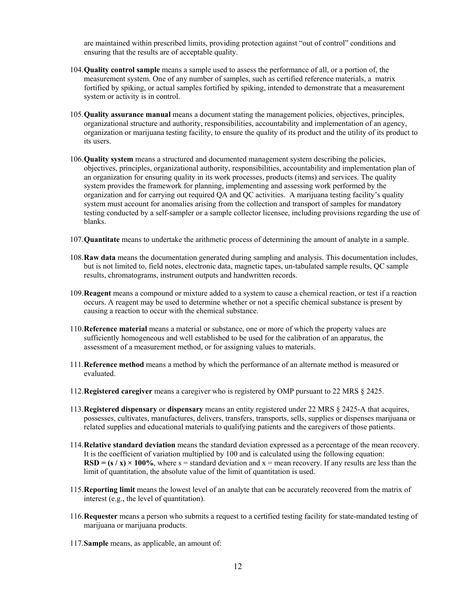are maintained within prescribed limits, providing protection against "out of control" conditions and ensuring that the results are of acceptable quality.

- 104.**Quality control sample** means a sample used to assess the performance of all, or a portion of, the measurement system. One of any number of samples, such as certified reference materials, a matrix fortified by spiking, or actual samples fortified by spiking, intended to demonstrate that a measurement system or activity is in control.
- 105.**Quality assurance manual** means a document stating the management policies, objectives, principles, organizational structure and authority, responsibilities, accountability and implementation of an agency, organization or marijuana testing facility, to ensure the quality of its product and the utility of its product to its users.
- 106.**Quality system** means a structured and documented management system describing the policies, objectives, principles, organizational authority, responsibilities, accountability and implementation plan of an organization for ensuring quality in its work processes, products (items) and services. The quality system provides the framework for planning, implementing and assessing work performed by the organization and for carrying out required QA and QC activities. A marijuana testing facility's quality system must account for anomalies arising from the collection and transport of samples for mandatory testing conducted by a self-sampler or a sample collector licensee, including provisions regarding the use of blanks.
- 107.**Quantitate** means to undertake the arithmetic process of determining the amount of analyte in a sample.
- 108.**Raw data** means the documentation generated during sampling and analysis. This documentation includes, but is not limited to, field notes, electronic data, magnetic tapes, un-tabulated sample results, QC sample results, chromatograms, instrument outputs and handwritten records.
- 109.**Reagent** means a compound or mixture added to a system to cause a chemical reaction, or test if a reaction occurs. A reagent may be used to determine whether or not a specific chemical substance is present by causing a reaction to occur with the chemical substance.
- 110.**Reference material** means a material or substance, one or more of which the property values are sufficiently homogeneous and well established to be used for the calibration of an apparatus, the assessment of a measurement method, or for assigning values to materials.
- 111.**Reference method** means a method by which the performance of an alternate method is measured or evaluated.
- 112.**Registered caregiver** means a caregiver who is registered by OMP pursuant to 22 MRS § 2425.
- 113.**Registered dispensary** or **dispensary** means an entity registered under 22 MRS § 2425-A that acquires, possesses, cultivates, manufactures, delivers, transfers, transports, sells, supplies or dispenses marijuana or related supplies and educational materials to qualifying patients and the caregivers of those patients.
- 114.**Relative standard deviation** means the standard deviation expressed as a percentage of the mean recovery. It is the coefficient of variation multiplied by 100 and is calculated using the following equation:  $RSD = (s / x) \times 100\%$ , where s = standard deviation and x = mean recovery. If any results are less than the limit of quantitation, the absolute value of the limit of quantitation is used.
- 115.**Reporting limit** means the lowest level of an analyte that can be accurately recovered from the matrix of interest (e.g., the level of quantitation).
- 116.**Requester** means a person who submits a request to a certified testing facility for state-mandated testing of marijuana or marijuana products.
- 117.**Sample** means, as applicable, an amount of: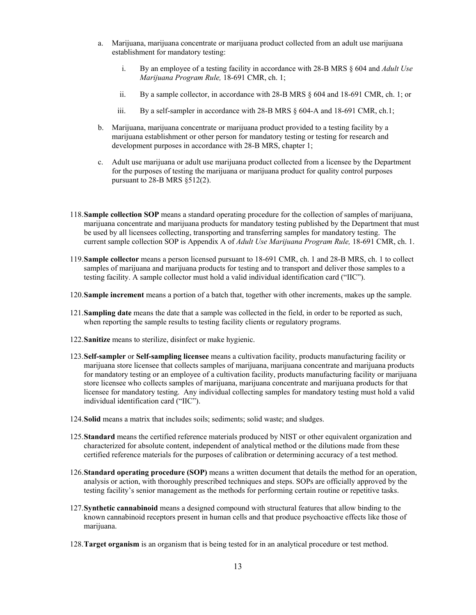- a. Marijuana, marijuana concentrate or marijuana product collected from an adult use marijuana establishment for mandatory testing:
	- i. By an employee of a testing facility in accordance with 28-B MRS § 604 and *Adult Use Marijuana Program Rule,* 18-691 CMR, ch. 1;
	- ii. By a sample collector, in accordance with 28-B MRS § 604 and 18-691 CMR, ch. 1; or
	- iii. By a self-sampler in accordance with 28-B MRS § 604-A and 18-691 CMR, ch.1;
- b. Marijuana, marijuana concentrate or marijuana product provided to a testing facility by a marijuana establishment or other person for mandatory testing or testing for research and development purposes in accordance with 28-B MRS, chapter 1;
- c. Adult use marijuana or adult use marijuana product collected from a licensee by the Department for the purposes of testing the marijuana or marijuana product for quality control purposes pursuant to 28-B MRS §512(2).
- 118.**Sample collection SOP** means a standard operating procedure for the collection of samples of marijuana, marijuana concentrate and marijuana products for mandatory testing published by the Department that must be used by all licensees collecting, transporting and transferring samples for mandatory testing. The current sample collection SOP is Appendix A of *Adult Use Marijuana Program Rule,* 18-691 CMR, ch. 1.
- 119.**Sample collector** means a person licensed pursuant to 18-691 CMR, ch. 1 and 28-B MRS, ch. 1 to collect samples of marijuana and marijuana products for testing and to transport and deliver those samples to a testing facility. A sample collector must hold a valid individual identification card ("IIC").
- 120.**Sample increment** means a portion of a batch that, together with other increments, makes up the sample.
- 121.**Sampling date** means the date that a sample was collected in the field, in order to be reported as such, when reporting the sample results to testing facility clients or regulatory programs.
- 122.**Sanitize** means to sterilize, disinfect or make hygienic.
- 123.**Self-sampler** or **Self-sampling licensee** means a cultivation facility, products manufacturing facility or marijuana store licensee that collects samples of marijuana, marijuana concentrate and marijuana products for mandatory testing or an employee of a cultivation facility, products manufacturing facility or marijuana store licensee who collects samples of marijuana, marijuana concentrate and marijuana products for that licensee for mandatory testing. Any individual collecting samples for mandatory testing must hold a valid individual identification card ("IIC").
- 124.**Solid** means a matrix that includes soils; sediments; solid waste; and sludges.
- 125.**Standard** means the certified reference materials produced by NIST or other equivalent organization and characterized for absolute content, independent of analytical method or the dilutions made from these certified reference materials for the purposes of calibration or determining accuracy of a test method.
- 126.**Standard operating procedure (SOP)** means a written document that details the method for an operation, analysis or action, with thoroughly prescribed techniques and steps. SOPs are officially approved by the testing facility's senior management as the methods for performing certain routine or repetitive tasks.
- 127.**Synthetic cannabinoid** means a designed compound with structural features that allow binding to the known cannabinoid receptors present in human cells and that produce psychoactive effects like those of marijuana.
- 128.**Target organism** is an organism that is being tested for in an analytical procedure or test method.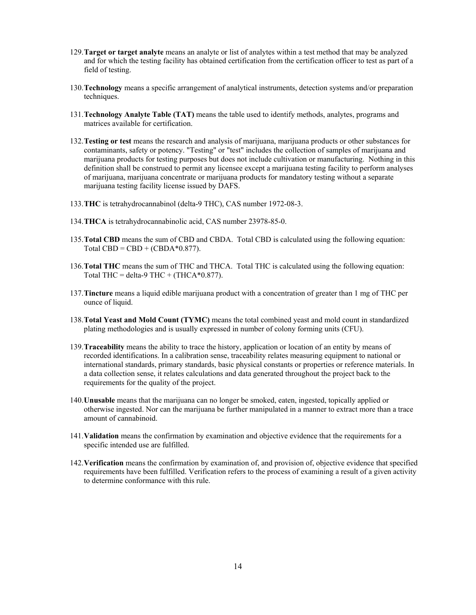- 129.**Target or target analyte** means an analyte or list of analytes within a test method that may be analyzed and for which the testing facility has obtained certification from the certification officer to test as part of a field of testing.
- 130.**Technology** means a specific arrangement of analytical instruments, detection systems and/or preparation techniques.
- 131.**Technology Analyte Table (TAT)** means the table used to identify methods, analytes, programs and matrices available for certification.
- 132.**Testing or test** means the research and analysis of marijuana, marijuana products or other substances for contaminants, safety or potency. "Testing" or "test" includes the collection of samples of marijuana and marijuana products for testing purposes but does not include cultivation or manufacturing. Nothing in this definition shall be construed to permit any licensee except a marijuana testing facility to perform analyses of marijuana, marijuana concentrate or marijuana products for mandatory testing without a separate marijuana testing facility license issued by DAFS.
- 133.**THC** is tetrahydrocannabinol (delta-9 THC), CAS number 1972-08-3.
- 134.**THCA** is tetrahydrocannabinolic acid, CAS number 23978-85-0.
- 135.**Total CBD** means the sum of CBD and CBDA. Total CBD is calculated using the following equation: Total CBD = CBD + (CBDA $*0.877$ ).
- 136.**Total THC** means the sum of THC and THCA. Total THC is calculated using the following equation: Total THC = delta-9 THC + (THCA $*0.877$ ).
- 137.**Tincture** means a liquid edible marijuana product with a concentration of greater than 1 mg of THC per ounce of liquid.
- 138.**Total Yeast and Mold Count (TYMC)** means the total combined yeast and mold count in standardized plating methodologies and is usually expressed in number of colony forming units (CFU).
- 139.**Traceability** means the ability to trace the history, application or location of an entity by means of recorded identifications. In a calibration sense, traceability relates measuring equipment to national or international standards, primary standards, basic physical constants or properties or reference materials. In a data collection sense, it relates calculations and data generated throughout the project back to the requirements for the quality of the project.
- 140.**Unusable** means that the marijuana can no longer be smoked, eaten, ingested, topically applied or otherwise ingested. Nor can the marijuana be further manipulated in a manner to extract more than a trace amount of cannabinoid.
- 141.**Validation** means the confirmation by examination and objective evidence that the requirements for a specific intended use are fulfilled.
- 142.**Verification** means the confirmation by examination of, and provision of, objective evidence that specified requirements have been fulfilled. Verification refers to the process of examining a result of a given activity to determine conformance with this rule.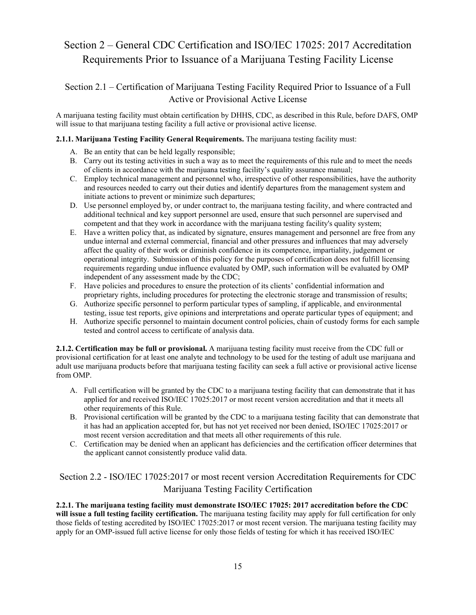## <span id="page-14-0"></span>Section 2 – General CDC Certification and ISO/IEC 17025: 2017 Accreditation Requirements Prior to Issuance of a Marijuana Testing Facility License

## <span id="page-14-1"></span>Section 2.1 – Certification of Marijuana Testing Facility Required Prior to Issuance of a Full Active or Provisional Active License

A marijuana testing facility must obtain certification by DHHS, CDC, as described in this Rule, before DAFS, OMP will issue to that marijuana testing facility a full active or provisional active license.

#### **2.1.1. Marijuana Testing Facility General Requirements.** The marijuana testing facility must:

- A. Be an entity that can be held legally responsible;
- B. Carry out its testing activities in such a way as to meet the requirements of this rule and to meet the needs of clients in accordance with the marijuana testing facility's quality assurance manual;
- C. Employ technical management and personnel who, irrespective of other responsibilities, have the authority and resources needed to carry out their duties and identify departures from the management system and initiate actions to prevent or minimize such departures;
- D. Use personnel employed by, or under contract to, the marijuana testing facility, and where contracted and additional technical and key support personnel are used, ensure that such personnel are supervised and competent and that they work in accordance with the marijuana testing facility's quality system;
- E. Have a written policy that, as indicated by signature, ensures management and personnel are free from any undue internal and external commercial, financial and other pressures and influences that may adversely affect the quality of their work or diminish confidence in its competence, impartiality, judgement or operational integrity. Submission of this policy for the purposes of certification does not fulfill licensing requirements regarding undue influence evaluated by OMP, such information will be evaluated by OMP independent of any assessment made by the CDC;
- F. Have policies and procedures to ensure the protection of its clients' confidential information and proprietary rights, including procedures for protecting the electronic storage and transmission of results;
- G. Authorize specific personnel to perform particular types of sampling, if applicable, and environmental testing, issue test reports, give opinions and interpretations and operate particular types of equipment; and
- H. Authorize specific personnel to maintain document control policies, chain of custody forms for each sample tested and control access to certificate of analysis data.

**2.1.2. Certification may be full or provisional.** A marijuana testing facility must receive from the CDC full or provisional certification for at least one analyte and technology to be used for the testing of adult use marijuana and adult use marijuana products before that marijuana testing facility can seek a full active or provisional active license from OMP.

- A. Full certification will be granted by the CDC to a marijuana testing facility that can demonstrate that it has applied for and received ISO/IEC 17025:2017 or most recent version accreditation and that it meets all other requirements of this Rule.
- B. Provisional certification will be granted by the CDC to a marijuana testing facility that can demonstrate that it has had an application accepted for, but has not yet received nor been denied, ISO/IEC 17025:2017 or most recent version accreditation and that meets all other requirements of this rule.
- C. Certification may be denied when an applicant has deficiencies and the certification officer determines that the applicant cannot consistently produce valid data.

## <span id="page-14-2"></span>Section 2.2 - ISO/IEC 17025:2017 or most recent version Accreditation Requirements for CDC Marijuana Testing Facility Certification

**2.2.1. The marijuana testing facility must demonstrate ISO/IEC 17025: 2017 accreditation before the CDC will issue a full testing facility certification.** The marijuana testing facility may apply for full certification for only those fields of testing accredited by ISO/IEC 17025:2017 or most recent version. The marijuana testing facility may apply for an OMP-issued full active license for only those fields of testing for which it has received ISO/IEC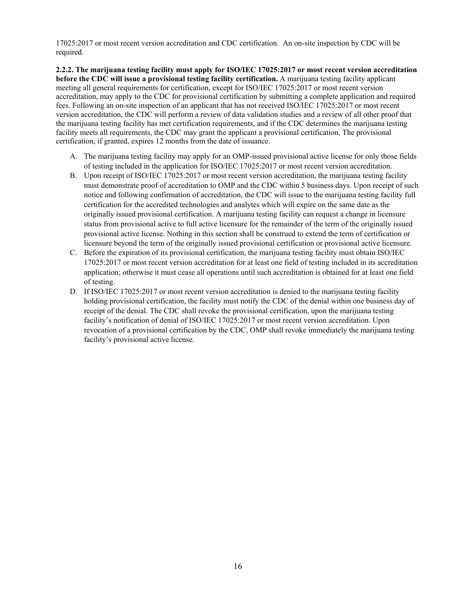17025:2017 or most recent version accreditation and CDC certification. An on-site inspection by CDC will be required.

**2.2.2. The marijuana testing facility must apply for ISO/IEC 17025:2017 or most recent version accreditation before the CDC will issue a provisional testing facility certification.** A marijuana testing facility applicant meeting all general requirements for certification, except for ISO/IEC 17025:2017 or most recent version accreditation, may apply to the CDC for provisional certification by submitting a complete application and required fees. Following an on-site inspection of an applicant that has not received ISO/IEC 17025:2017 or most recent version accreditation, the CDC will perform a review of data validation studies and a review of all other proof that the marijuana testing facility has met certification requirements, and if the CDC determines the marijuana testing facility meets all requirements, the CDC may grant the applicant a provisional certification. The provisional certification, if granted, expires 12 months from the date of issuance.

- A. The marijuana testing facility may apply for an OMP-issued provisional active license for only those fields of testing included in the application for ISO/IEC 17025:2017 or most recent version accreditation.
- B. Upon receipt of ISO/IEC 17025:2017 or most recent version accreditation, the marijuana testing facility must demonstrate proof of accreditation to OMP and the CDC within 5 business days. Upon receipt of such notice and following confirmation of accreditation, the CDC will issue to the marijuana testing facility full certification for the accredited technologies and analytes which will expire on the same date as the originally issued provisional certification. A marijuana testing facility can request a change in licensure status from provisional active to full active licensure for the remainder of the term of the originally issued provisional active license. Nothing in this section shall be construed to extend the term of certification or licensure beyond the term of the originally issued provisional certification or provisional active licensure.
- C. Before the expiration of its provisional certification, the marijuana testing facility must obtain ISO/IEC 17025:2017 or most recent version accreditation for at least one field of testing included in its accreditation application; otherwise it must cease all operations until such accreditation is obtained for at least one field of testing.
- D. If ISO/IEC 17025:2017 or most recent version accreditation is denied to the marijuana testing facility holding provisional certification, the facility must notify the CDC of the denial within one business day of receipt of the denial. The CDC shall revoke the provisional certification, upon the marijuana testing facility's notification of denial of ISO/IEC 17025:2017 or most recent version accreditation. Upon revocation of a provisional certification by the CDC, OMP shall revoke immediately the marijuana testing facility's provisional active license.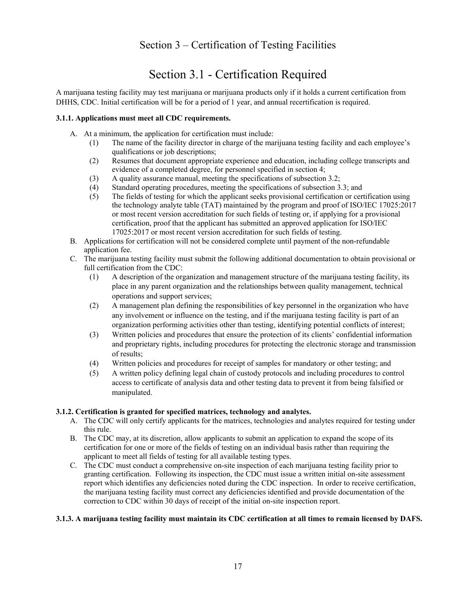## Section 3 – Certification of Testing Facilities

# Section 3.1 - Certification Required

<span id="page-16-1"></span><span id="page-16-0"></span>A marijuana testing facility may test marijuana or marijuana products only if it holds a current certification from DHHS, CDC. Initial certification will be for a period of 1 year, and annual recertification is required.

#### **3.1.1. Applications must meet all CDC requirements.**

- A. At a minimum, the application for certification must include:
	- (1) The name of the facility director in charge of the marijuana testing facility and each employee's qualifications or job descriptions;
	- (2) Resumes that document appropriate experience and education, including college transcripts and evidence of a completed degree, for personnel specified in section 4;
	- (3) A quality assurance manual, meeting the specifications of subsection 3.2;
	- (4) Standard operating procedures, meeting the specifications of subsection 3.3; and
	- (5) The fields of testing for which the applicant seeks provisional certification or certification using the technology analyte table (TAT) maintained by the program and proof of ISO/IEC 17025:2017 or most recent version accreditation for such fields of testing or, if applying for a provisional certification, proof that the applicant has submitted an approved application for ISO/IEC 17025:2017 or most recent version accreditation for such fields of testing.
- B. Applications for certification will not be considered complete until payment of the non-refundable application fee.
- C. The marijuana testing facility must submit the following additional documentation to obtain provisional or full certification from the CDC:
	- (1) A description of the organization and management structure of the marijuana testing facility, its place in any parent organization and the relationships between quality management, technical operations and support services;
	- (2) A management plan defining the responsibilities of key personnel in the organization who have any involvement or influence on the testing, and if the marijuana testing facility is part of an organization performing activities other than testing, identifying potential conflicts of interest;
	- (3) Written policies and procedures that ensure the protection of its clients' confidential information and proprietary rights, including procedures for protecting the electronic storage and transmission of results;
	- (4) Written policies and procedures for receipt of samples for mandatory or other testing; and
	- (5) A written policy defining legal chain of custody protocols and including procedures to control access to certificate of analysis data and other testing data to prevent it from being falsified or manipulated.

#### **3.1.2. Certification is granted for specified matrices, technology and analytes.**

- A. The CDC will only certify applicants for the matrices, technologies and analytes required for testing under this rule.
- B. The CDC may, at its discretion, allow applicants to submit an application to expand the scope of its certification for one or more of the fields of testing on an individual basis rather than requiring the applicant to meet all fields of testing for all available testing types.
- C. The CDC must conduct a comprehensive on-site inspection of each marijuana testing facility prior to granting certification. Following its inspection, the CDC must issue a written initial on-site assessment report which identifies any deficiencies noted during the CDC inspection. In order to receive certification, the marijuana testing facility must correct any deficiencies identified and provide documentation of the correction to CDC within 30 days of receipt of the initial on-site inspection report.

#### **3.1.3. A marijuana testing facility must maintain its CDC certification at all times to remain licensed by DAFS.**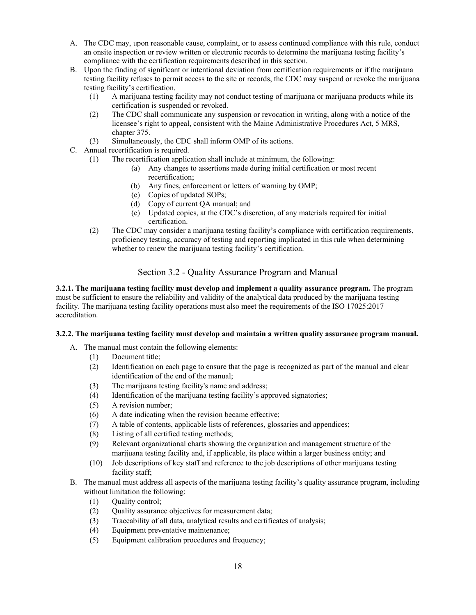- A. The CDC may, upon reasonable cause, complaint, or to assess continued compliance with this rule, conduct an onsite inspection or review written or electronic records to determine the marijuana testing facility's compliance with the certification requirements described in this section.
- B. Upon the finding of significant or intentional deviation from certification requirements or if the marijuana testing facility refuses to permit access to the site or records, the CDC may suspend or revoke the marijuana testing facility's certification.
	- (1) A marijuana testing facility may not conduct testing of marijuana or marijuana products while its certification is suspended or revoked.
	- (2) The CDC shall communicate any suspension or revocation in writing, along with a notice of the licensee's right to appeal, consistent with the Maine Administrative Procedures Act, 5 MRS, chapter 375.
	- (3) Simultaneously, the CDC shall inform OMP of its actions.
- C. Annual recertification is required.
	- (1) The recertification application shall include at minimum, the following:
		- (a) Any changes to assertions made during initial certification or most recent recertification;
		- (b) Any fines, enforcement or letters of warning by OMP;
		- (c) Copies of updated SOPs;
		- (d) Copy of current QA manual; and
		- (e) Updated copies, at the CDC's discretion, of any materials required for initial certification.
	- (2) The CDC may consider a marijuana testing facility's compliance with certification requirements, proficiency testing, accuracy of testing and reporting implicated in this rule when determining whether to renew the marijuana testing facility's certification.

### Section 3.2 - Quality Assurance Program and Manual

<span id="page-17-0"></span>**3.2.1. The marijuana testing facility must develop and implement a quality assurance program.** The program must be sufficient to ensure the reliability and validity of the analytical data produced by the marijuana testing facility. The marijuana testing facility operations must also meet the requirements of the ISO 17025:2017 accreditation.

#### **3.2.2. The marijuana testing facility must develop and maintain a written quality assurance program manual.**

- A. The manual must contain the following elements:
	- (1) Document title;
	- (2) Identification on each page to ensure that the page is recognized as part of the manual and clear identification of the end of the manual;
	- (3) The marijuana testing facility's name and address;
	- (4) Identification of the marijuana testing facility's approved signatories;
	- (5) A revision number;
	- (6) A date indicating when the revision became effective;
	- (7) A table of contents, applicable lists of references, glossaries and appendices;
	- (8) Listing of all certified testing methods;
	- (9) Relevant organizational charts showing the organization and management structure of the marijuana testing facility and, if applicable, its place within a larger business entity; and
	- (10) Job descriptions of key staff and reference to the job descriptions of other marijuana testing facility staff;
- B. The manual must address all aspects of the marijuana testing facility's quality assurance program, including without limitation the following:
	- (1) Quality control;
	- (2) Quality assurance objectives for measurement data;
	- (3) Traceability of all data, analytical results and certificates of analysis;
	- (4) Equipment preventative maintenance;
	- (5) Equipment calibration procedures and frequency;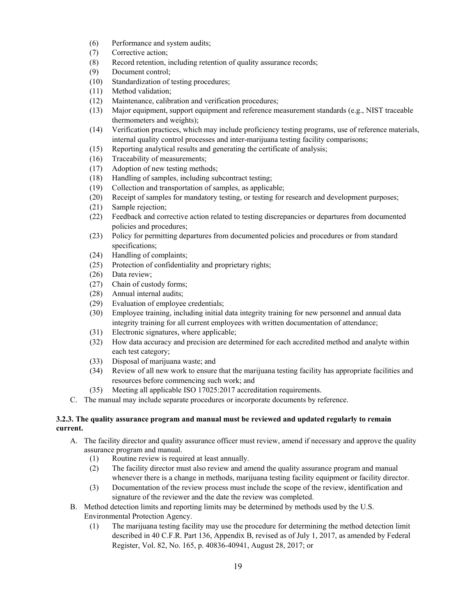- (6) Performance and system audits;
- (7) Corrective action;
- (8) Record retention, including retention of quality assurance records;
- (9) Document control;
- (10) Standardization of testing procedures;
- (11) Method validation;
- (12) Maintenance, calibration and verification procedures;
- (13) Major equipment, support equipment and reference measurement standards (e.g., NIST traceable thermometers and weights);
- (14) Verification practices, which may include proficiency testing programs, use of reference materials, internal quality control processes and inter-marijuana testing facility comparisons;
- (15) Reporting analytical results and generating the certificate of analysis;
- (16) Traceability of measurements;
- (17) Adoption of new testing methods;
- (18) Handling of samples, including subcontract testing;
- (19) Collection and transportation of samples, as applicable;
- (20) Receipt of samples for mandatory testing, or testing for research and development purposes;
- (21) Sample rejection;
- (22) Feedback and corrective action related to testing discrepancies or departures from documented policies and procedures;
- (23) Policy for permitting departures from documented policies and procedures or from standard specifications;
- (24) Handling of complaints;
- (25) Protection of confidentiality and proprietary rights;
- (26) Data review;
- (27) Chain of custody forms;
- (28) Annual internal audits;
- (29) Evaluation of employee credentials;
- (30) Employee training, including initial data integrity training for new personnel and annual data integrity training for all current employees with written documentation of attendance;
- (31) Electronic signatures, where applicable;
- (32) How data accuracy and precision are determined for each accredited method and analyte within each test category;
- (33) Disposal of marijuana waste; and
- (34) Review of all new work to ensure that the marijuana testing facility has appropriate facilities and resources before commencing such work; and
- (35) Meeting all applicable ISO 17025:2017 accreditation requirements.
- C. The manual may include separate procedures or incorporate documents by reference.

#### **3.2.3. The quality assurance program and manual must be reviewed and updated regularly to remain current.**

- A. The facility director and quality assurance officer must review, amend if necessary and approve the quality assurance program and manual.
	- (1) Routine review is required at least annually.
	- (2) The facility director must also review and amend the quality assurance program and manual whenever there is a change in methods, marijuana testing facility equipment or facility director.
	- (3) Documentation of the review process must include the scope of the review, identification and signature of the reviewer and the date the review was completed.
- B. Method detection limits and reporting limits may be determined by methods used by the U.S. Environmental Protection Agency.
	- (1) The marijuana testing facility may use the procedure for determining the method detection limit described in 40 C.F.R. Part 136, Appendix B, revised as of July 1, 2017, as amended by Federal Register, Vol. 82, No. 165, p. 40836-40941, August 28, 2017; or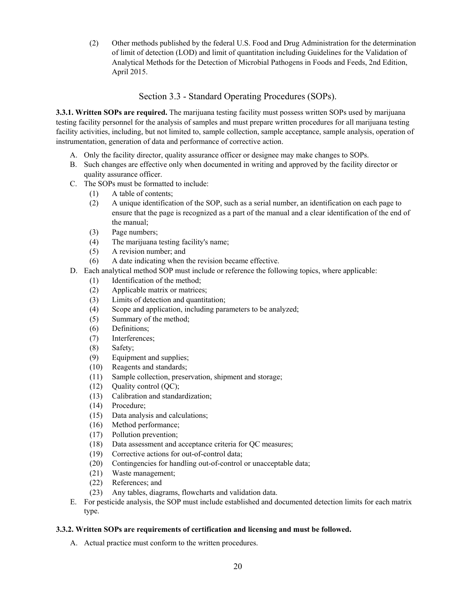(2) Other methods published by the federal U.S. Food and Drug Administration for the determination of limit of detection (LOD) and limit of quantitation including Guidelines for the Validation of Analytical Methods for the Detection of Microbial Pathogens in Foods and Feeds, 2nd Edition, April 2015.

## Section 3.3 - Standard Operating Procedures (SOPs).

<span id="page-19-0"></span>**3.3.1. Written SOPs are required.** The marijuana testing facility must possess written SOPs used by marijuana testing facility personnel for the analysis of samples and must prepare written procedures for all marijuana testing facility activities, including, but not limited to, sample collection, sample acceptance, sample analysis, operation of instrumentation, generation of data and performance of corrective action.

- A. Only the facility director, quality assurance officer or designee may make changes to SOPs.
- B. Such changes are effective only when documented in writing and approved by the facility director or quality assurance officer.
- C. The SOPs must be formatted to include:
	- (1) A table of contents;
	- (2) A unique identification of the SOP, such as a serial number, an identification on each page to ensure that the page is recognized as a part of the manual and a clear identification of the end of the manual;
	- (3) Page numbers;
	- (4) The marijuana testing facility's name;
	- (5) A revision number; and
	- (6) A date indicating when the revision became effective.
- D. Each analytical method SOP must include or reference the following topics, where applicable:
	- (1) Identification of the method;
	- (2) Applicable matrix or matrices;
	- (3) Limits of detection and quantitation;
	- (4) Scope and application, including parameters to be analyzed;
	- (5) Summary of the method;
	- (6) Definitions;
	- (7) Interferences;
	- (8) Safety;
	- (9) Equipment and supplies;
	- (10) Reagents and standards;
	- (11) Sample collection, preservation, shipment and storage;
	- (12) Quality control (QC);
	- (13) Calibration and standardization;
	- (14) Procedure;
	- (15) Data analysis and calculations;
	- (16) Method performance;
	- (17) Pollution prevention;
	- (18) Data assessment and acceptance criteria for QC measures;
	- (19) Corrective actions for out-of-control data;
	- (20) Contingencies for handling out-of-control or unacceptable data;
	- (21) Waste management;
	- (22) References; and
	- (23) Any tables, diagrams, flowcharts and validation data.
- E. For pesticide analysis, the SOP must include established and documented detection limits for each matrix type.

#### **3.3.2. Written SOPs are requirements of certification and licensing and must be followed.**

A. Actual practice must conform to the written procedures.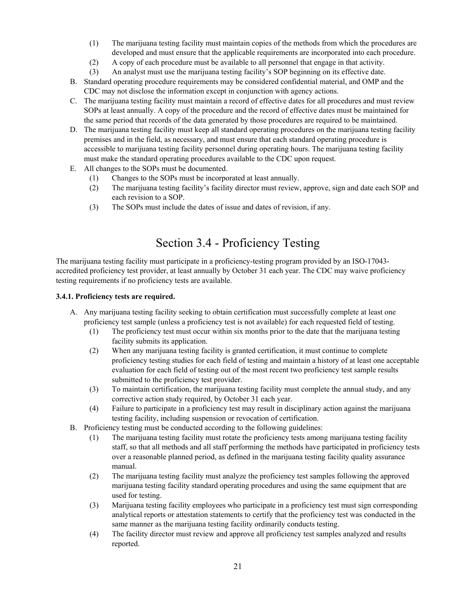- (1) The marijuana testing facility must maintain copies of the methods from which the procedures are developed and must ensure that the applicable requirements are incorporated into each procedure.
- (2) A copy of each procedure must be available to all personnel that engage in that activity.
- (3) An analyst must use the marijuana testing facility's SOP beginning on its effective date.
- B. Standard operating procedure requirements may be considered confidential material, and OMP and the CDC may not disclose the information except in conjunction with agency actions.
- C. The marijuana testing facility must maintain a record of effective dates for all procedures and must review SOPs at least annually. A copy of the procedure and the record of effective dates must be maintained for the same period that records of the data generated by those procedures are required to be maintained.
- D. The marijuana testing facility must keep all standard operating procedures on the marijuana testing facility premises and in the field, as necessary, and must ensure that each standard operating procedure is accessible to marijuana testing facility personnel during operating hours. The marijuana testing facility must make the standard operating procedures available to the CDC upon request.
- E. All changes to the SOPs must be documented.
	- (1) Changes to the SOPs must be incorporated at least annually.
	- (2) The marijuana testing facility's facility director must review, approve, sign and date each SOP and each revision to a SOP.
	- (3) The SOPs must include the dates of issue and dates of revision, if any.

# Section 3.4 - Proficiency Testing

<span id="page-20-0"></span>The marijuana testing facility must participate in a proficiency-testing program provided by an ISO-17043 accredited proficiency test provider, at least annually by October 31 each year. The CDC may waive proficiency testing requirements if no proficiency tests are available.

#### **3.4.1. Proficiency tests are required.**

- A. Any marijuana testing facility seeking to obtain certification must successfully complete at least one proficiency test sample (unless a proficiency test is not available) for each requested field of testing.
	- (1) The proficiency test must occur within six months prior to the date that the marijuana testing facility submits its application.
	- (2) When any marijuana testing facility is granted certification, it must continue to complete proficiency testing studies for each field of testing and maintain a history of at least one acceptable evaluation for each field of testing out of the most recent two proficiency test sample results submitted to the proficiency test provider.
	- (3) To maintain certification, the marijuana testing facility must complete the annual study, and any corrective action study required, by October 31 each year.
	- (4) Failure to participate in a proficiency test may result in disciplinary action against the marijuana testing facility, including suspension or revocation of certification.
- B. Proficiency testing must be conducted according to the following guidelines:
	- (1) The marijuana testing facility must rotate the proficiency tests among marijuana testing facility staff, so that all methods and all staff performing the methods have participated in proficiency tests over a reasonable planned period, as defined in the marijuana testing facility quality assurance manual.
	- (2) The marijuana testing facility must analyze the proficiency test samples following the approved marijuana testing facility standard operating procedures and using the same equipment that are used for testing.
	- (3) Marijuana testing facility employees who participate in a proficiency test must sign corresponding analytical reports or attestation statements to certify that the proficiency test was conducted in the same manner as the marijuana testing facility ordinarily conducts testing.
	- (4) The facility director must review and approve all proficiency test samples analyzed and results reported.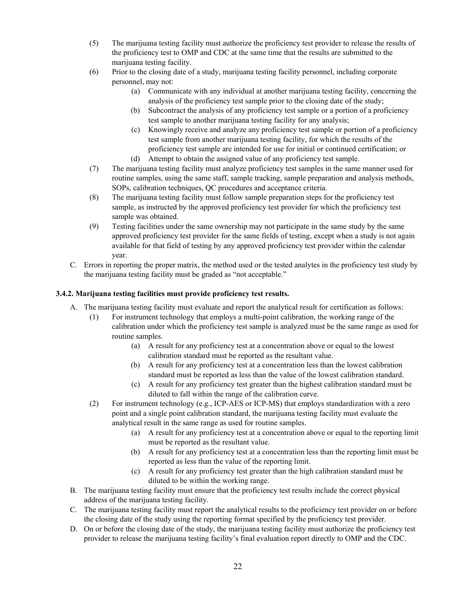- (5) The marijuana testing facility must authorize the proficiency test provider to release the results of the proficiency test to OMP and CDC at the same time that the results are submitted to the marijuana testing facility.
- (6) Prior to the closing date of a study, marijuana testing facility personnel, including corporate personnel, may not:
	- (a) Communicate with any individual at another marijuana testing facility, concerning the analysis of the proficiency test sample prior to the closing date of the study;
	- (b) Subcontract the analysis of any proficiency test sample or a portion of a proficiency test sample to another marijuana testing facility for any analysis;
	- (c) Knowingly receive and analyze any proficiency test sample or portion of a proficiency test sample from another marijuana testing facility, for which the results of the proficiency test sample are intended for use for initial or continued certification; or
	- (d) Attempt to obtain the assigned value of any proficiency test sample.
- (7) The marijuana testing facility must analyze proficiency test samples in the same manner used for routine samples, using the same staff, sample tracking, sample preparation and analysis methods, SOPs, calibration techniques, QC procedures and acceptance criteria.
- (8) The marijuana testing facility must follow sample preparation steps for the proficiency test sample, as instructed by the approved proficiency test provider for which the proficiency test sample was obtained.
- (9) Testing facilities under the same ownership may not participate in the same study by the same approved proficiency test provider for the same fields of testing, except when a study is not again available for that field of testing by any approved proficiency test provider within the calendar year.
- C. Errors in reporting the proper matrix, the method used or the tested analytes in the proficiency test study by the marijuana testing facility must be graded as "not acceptable."

### **3.4.2. Marijuana testing facilities must provide proficiency test results.**

- A. The marijuana testing facility must evaluate and report the analytical result for certification as follows:
	- (1) For instrument technology that employs a multi-point calibration, the working range of the calibration under which the proficiency test sample is analyzed must be the same range as used for routine samples.
		- (a) A result for any proficiency test at a concentration above or equal to the lowest calibration standard must be reported as the resultant value.
		- (b) A result for any proficiency test at a concentration less than the lowest calibration standard must be reported as less than the value of the lowest calibration standard.
		- (c) A result for any proficiency test greater than the highest calibration standard must be diluted to fall within the range of the calibration curve.
	- (2) For instrument technology (e.g., ICP-AES or ICP-MS) that employs standardization with a zero point and a single point calibration standard, the marijuana testing facility must evaluate the analytical result in the same range as used for routine samples.
		- (a) A result for any proficiency test at a concentration above or equal to the reporting limit must be reported as the resultant value.
		- (b) A result for any proficiency test at a concentration less than the reporting limit must be reported as less than the value of the reporting limit.
		- (c) A result for any proficiency test greater than the high calibration standard must be diluted to be within the working range.
- B. The marijuana testing facility must ensure that the proficiency test results include the correct physical address of the marijuana testing facility.
- C. The marijuana testing facility must report the analytical results to the proficiency test provider on or before the closing date of the study using the reporting format specified by the proficiency test provider.
- D. On or before the closing date of the study, the marijuana testing facility must authorize the proficiency test provider to release the marijuana testing facility's final evaluation report directly to OMP and the CDC.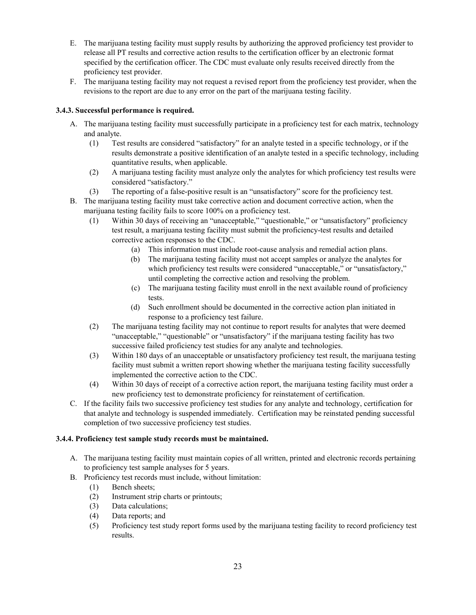- E. The marijuana testing facility must supply results by authorizing the approved proficiency test provider to release all PT results and corrective action results to the certification officer by an electronic format specified by the certification officer. The CDC must evaluate only results received directly from the proficiency test provider.
- F. The marijuana testing facility may not request a revised report from the proficiency test provider, when the revisions to the report are due to any error on the part of the marijuana testing facility.

### **3.4.3. Successful performance is required.**

- A. The marijuana testing facility must successfully participate in a proficiency test for each matrix, technology and analyte.
	- (1) Test results are considered "satisfactory" for an analyte tested in a specific technology, or if the results demonstrate a positive identification of an analyte tested in a specific technology, including quantitative results, when applicable.
	- (2) A marijuana testing facility must analyze only the analytes for which proficiency test results were considered "satisfactory."
	- (3) The reporting of a false-positive result is an "unsatisfactory" score for the proficiency test.
- B. The marijuana testing facility must take corrective action and document corrective action, when the marijuana testing facility fails to score 100% on a proficiency test.
	- (1) Within 30 days of receiving an "unacceptable," "questionable," or "unsatisfactory" proficiency test result, a marijuana testing facility must submit the proficiency-test results and detailed corrective action responses to the CDC.
		- (a) This information must include root-cause analysis and remedial action plans.
		- (b) The marijuana testing facility must not accept samples or analyze the analytes for which proficiency test results were considered "unacceptable," or "unsatisfactory," until completing the corrective action and resolving the problem.
		- (c) The marijuana testing facility must enroll in the next available round of proficiency tests.
		- (d) Such enrollment should be documented in the corrective action plan initiated in response to a proficiency test failure.
	- (2) The marijuana testing facility may not continue to report results for analytes that were deemed "unacceptable," "questionable" or "unsatisfactory" if the marijuana testing facility has two successive failed proficiency test studies for any analyte and technologies.
	- (3) Within 180 days of an unacceptable or unsatisfactory proficiency test result, the marijuana testing facility must submit a written report showing whether the marijuana testing facility successfully implemented the corrective action to the CDC.
	- (4) Within 30 days of receipt of a corrective action report, the marijuana testing facility must order a new proficiency test to demonstrate proficiency for reinstatement of certification.
- C. If the facility fails two successive proficiency test studies for any analyte and technology, certification for that analyte and technology is suspended immediately. Certification may be reinstated pending successful completion of two successive proficiency test studies.

#### **3.4.4. Proficiency test sample study records must be maintained.**

- A. The marijuana testing facility must maintain copies of all written, printed and electronic records pertaining to proficiency test sample analyses for 5 years.
- B. Proficiency test records must include, without limitation:
	- (1) Bench sheets;
	- (2) Instrument strip charts or printouts;
	- (3) Data calculations;
	- (4) Data reports; and
	- (5) Proficiency test study report forms used by the marijuana testing facility to record proficiency test results.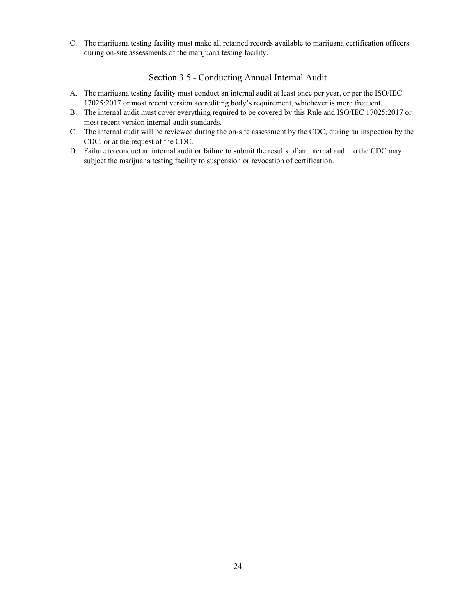<span id="page-23-0"></span>C. The marijuana testing facility must make all retained records available to marijuana certification officers during on-site assessments of the marijuana testing facility.

### Section 3.5 - Conducting Annual Internal Audit

- A. The marijuana testing facility must conduct an internal audit at least once per year, or per the ISO/IEC 17025:2017 or most recent version accrediting body's requirement, whichever is more frequent.
- B. The internal audit must cover everything required to be covered by this Rule and ISO/IEC 17025:2017 or most recent version internal-audit standards.
- C. The internal audit will be reviewed during the on-site assessment by the CDC, during an inspection by the CDC, or at the request of the CDC.
- D. Failure to conduct an internal audit or failure to submit the results of an internal audit to the CDC may subject the marijuana testing facility to suspension or revocation of certification.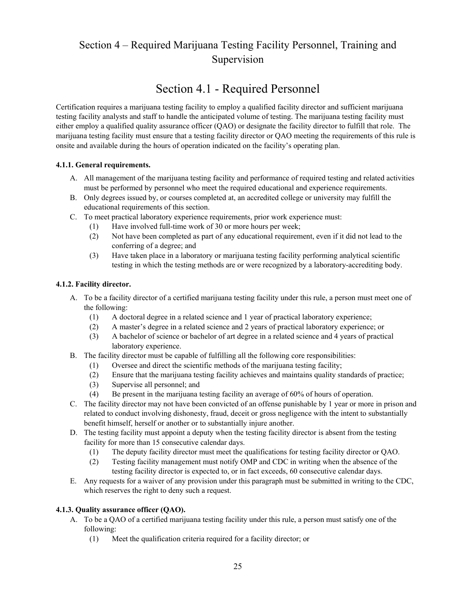# <span id="page-24-0"></span>Section 4 – Required Marijuana Testing Facility Personnel, Training and Supervision

# Section 4.1 - Required Personnel

<span id="page-24-1"></span>Certification requires a marijuana testing facility to employ a qualified facility director and sufficient marijuana testing facility analysts and staff to handle the anticipated volume of testing. The marijuana testing facility must either employ a qualified quality assurance officer (QAO) or designate the facility director to fulfill that role. The marijuana testing facility must ensure that a testing facility director or QAO meeting the requirements of this rule is onsite and available during the hours of operation indicated on the facility's operating plan.

### **4.1.1. General requirements.**

- A. All management of the marijuana testing facility and performance of required testing and related activities must be performed by personnel who meet the required educational and experience requirements.
- B. Only degrees issued by, or courses completed at, an accredited college or university may fulfill the educational requirements of this section.
- C. To meet practical laboratory experience requirements, prior work experience must:
	- (1) Have involved full-time work of 30 or more hours per week;
	- (2) Not have been completed as part of any educational requirement, even if it did not lead to the conferring of a degree; and
	- (3) Have taken place in a laboratory or marijuana testing facility performing analytical scientific testing in which the testing methods are or were recognized by a laboratory-accrediting body.

### **4.1.2. Facility director.**

- A. To be a facility director of a certified marijuana testing facility under this rule, a person must meet one of the following:
	- (1) A doctoral degree in a related science and 1 year of practical laboratory experience;
	- (2) A master's degree in a related science and 2 years of practical laboratory experience; or
	- (3) A bachelor of science or bachelor of art degree in a related science and 4 years of practical laboratory experience.
- B. The facility director must be capable of fulfilling all the following core responsibilities:
	- (1) Oversee and direct the scientific methods of the marijuana testing facility;
	- (2) Ensure that the marijuana testing facility achieves and maintains quality standards of practice;
	- (3) Supervise all personnel; and
	- (4) Be present in the marijuana testing facility an average of 60% of hours of operation.
- C. The facility director may not have been convicted of an offense punishable by 1 year or more in prison and related to conduct involving dishonesty, fraud, deceit or gross negligence with the intent to substantially benefit himself, herself or another or to substantially injure another.
- D. The testing facility must appoint a deputy when the testing facility director is absent from the testing facility for more than 15 consecutive calendar days.
	- (1) The deputy facility director must meet the qualifications for testing facility director or QAO.
	- (2) Testing facility management must notify OMP and CDC in writing when the absence of the testing facility director is expected to, or in fact exceeds, 60 consecutive calendar days.
- E. Any requests for a waiver of any provision under this paragraph must be submitted in writing to the CDC, which reserves the right to deny such a request.

#### **4.1.3. Quality assurance officer (QAO).**

- A. To be a QAO of a certified marijuana testing facility under this rule, a person must satisfy one of the following:
	- (1) Meet the qualification criteria required for a facility director; or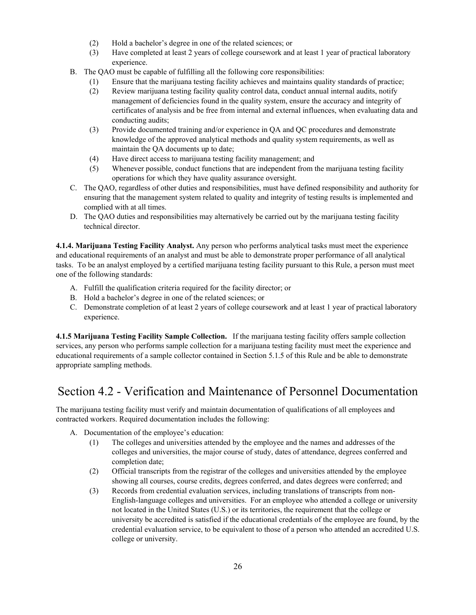- (2) Hold a bachelor's degree in one of the related sciences; or
- (3) Have completed at least 2 years of college coursework and at least 1 year of practical laboratory experience.
- B. The QAO must be capable of fulfilling all the following core responsibilities:
	- (1) Ensure that the marijuana testing facility achieves and maintains quality standards of practice;
	- (2) Review marijuana testing facility quality control data, conduct annual internal audits, notify management of deficiencies found in the quality system, ensure the accuracy and integrity of certificates of analysis and be free from internal and external influences, when evaluating data and conducting audits;
	- (3) Provide documented training and/or experience in QA and QC procedures and demonstrate knowledge of the approved analytical methods and quality system requirements, as well as maintain the QA documents up to date;
	- (4) Have direct access to marijuana testing facility management; and
	- (5) Whenever possible, conduct functions that are independent from the marijuana testing facility operations for which they have quality assurance oversight.
- C. The QAO, regardless of other duties and responsibilities, must have defined responsibility and authority for ensuring that the management system related to quality and integrity of testing results is implemented and complied with at all times.
- D. The QAO duties and responsibilities may alternatively be carried out by the marijuana testing facility technical director.

**4.1.4. Marijuana Testing Facility Analyst.** Any person who performs analytical tasks must meet the experience and educational requirements of an analyst and must be able to demonstrate proper performance of all analytical tasks. To be an analyst employed by a certified marijuana testing facility pursuant to this Rule, a person must meet one of the following standards:

- A. Fulfill the qualification criteria required for the facility director; or
- B. Hold a bachelor's degree in one of the related sciences; or
- C. Demonstrate completion of at least 2 years of college coursework and at least 1 year of practical laboratory experience.

**4.1.5 Marijuana Testing Facility Sample Collection.** If the marijuana testing facility offers sample collection services, any person who performs sample collection for a marijuana testing facility must meet the experience and educational requirements of a sample collector contained in Section 5.1.5 of this Rule and be able to demonstrate appropriate sampling methods.

# <span id="page-25-0"></span>Section 4.2 - Verification and Maintenance of Personnel Documentation

The marijuana testing facility must verify and maintain documentation of qualifications of all employees and contracted workers. Required documentation includes the following:

- A. Documentation of the employee's education:
	- (1) The colleges and universities attended by the employee and the names and addresses of the colleges and universities, the major course of study, dates of attendance, degrees conferred and completion date;
	- (2) Official transcripts from the registrar of the colleges and universities attended by the employee showing all courses, course credits, degrees conferred, and dates degrees were conferred; and
	- (3) Records from credential evaluation services, including translations of transcripts from non-English-language colleges and universities. For an employee who attended a college or university not located in the United States (U.S.) or its territories, the requirement that the college or university be accredited is satisfied if the educational credentials of the employee are found, by the credential evaluation service, to be equivalent to those of a person who attended an accredited U.S. college or university.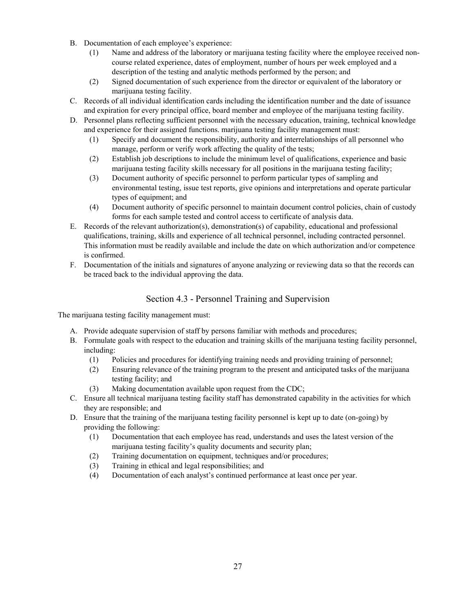- B. Documentation of each employee's experience:
	- (1) Name and address of the laboratory or marijuana testing facility where the employee received noncourse related experience, dates of employment, number of hours per week employed and a description of the testing and analytic methods performed by the person; and
	- (2) Signed documentation of such experience from the director or equivalent of the laboratory or marijuana testing facility.
- C. Records of all individual identification cards including the identification number and the date of issuance and expiration for every principal office, board member and employee of the marijuana testing facility.
- D. Personnel plans reflecting sufficient personnel with the necessary education, training, technical knowledge and experience for their assigned functions. marijuana testing facility management must:
	- (1) Specify and document the responsibility, authority and interrelationships of all personnel who manage, perform or verify work affecting the quality of the tests;
	- (2) Establish job descriptions to include the minimum level of qualifications, experience and basic marijuana testing facility skills necessary for all positions in the marijuana testing facility;
	- (3) Document authority of specific personnel to perform particular types of sampling and environmental testing, issue test reports, give opinions and interpretations and operate particular types of equipment; and
	- (4) Document authority of specific personnel to maintain document control policies, chain of custody forms for each sample tested and control access to certificate of analysis data.
- E. Records of the relevant authorization(s), demonstration(s) of capability, educational and professional qualifications, training, skills and experience of all technical personnel, including contracted personnel. This information must be readily available and include the date on which authorization and/or competence is confirmed.
- F. Documentation of the initials and signatures of anyone analyzing or reviewing data so that the records can be traced back to the individual approving the data.

## Section 4.3 - Personnel Training and Supervision

<span id="page-26-0"></span>The marijuana testing facility management must:

- A. Provide adequate supervision of staff by persons familiar with methods and procedures;
- B. Formulate goals with respect to the education and training skills of the marijuana testing facility personnel, including:
	- (1) Policies and procedures for identifying training needs and providing training of personnel;
	- (2) Ensuring relevance of the training program to the present and anticipated tasks of the marijuana testing facility; and
	- (3) Making documentation available upon request from the CDC;
- C. Ensure all technical marijuana testing facility staff has demonstrated capability in the activities for which they are responsible; and
- D. Ensure that the training of the marijuana testing facility personnel is kept up to date (on-going) by providing the following:
	- (1) Documentation that each employee has read, understands and uses the latest version of the marijuana testing facility's quality documents and security plan;
	- (2) Training documentation on equipment, techniques and/or procedures;
	- (3) Training in ethical and legal responsibilities; and
	- (4) Documentation of each analyst's continued performance at least once per year.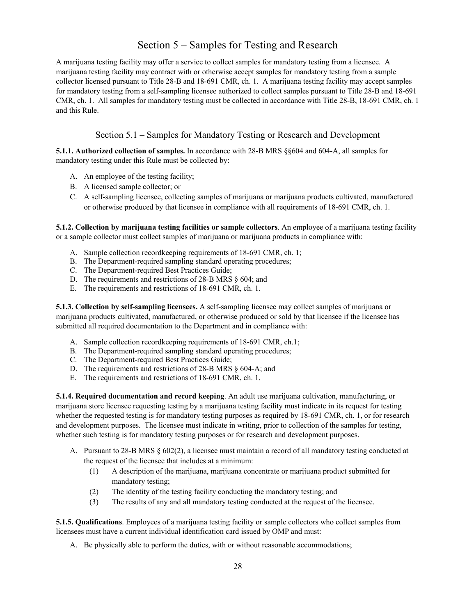## Section 5 – Samples for Testing and Research

<span id="page-27-0"></span>A marijuana testing facility may offer a service to collect samples for mandatory testing from a licensee. A marijuana testing facility may contract with or otherwise accept samples for mandatory testing from a sample collector licensed pursuant to Title 28-B and 18-691 CMR, ch. 1. A marijuana testing facility may accept samples for mandatory testing from a self-sampling licensee authorized to collect samples pursuant to Title 28-B and 18-691 CMR, ch. 1. All samples for mandatory testing must be collected in accordance with Title 28-B, 18-691 CMR, ch. 1 and this Rule.

## Section 5.1 – Samples for Mandatory Testing or Research and Development

<span id="page-27-1"></span>**5.1.1. Authorized collection of samples.** In accordance with 28-B MRS §§604 and 604-A, all samples for mandatory testing under this Rule must be collected by:

- A. An employee of the testing facility;
- B. A licensed sample collector; or
- C. A self-sampling licensee, collecting samples of marijuana or marijuana products cultivated, manufactured or otherwise produced by that licensee in compliance with all requirements of 18-691 CMR, ch. 1.

**5.1.2. Collection by marijuana testing facilities or sample collectors**. An employee of a marijuana testing facility or a sample collector must collect samples of marijuana or marijuana products in compliance with:

- A. Sample collection recordkeeping requirements of 18-691 CMR, ch. 1;
- B. The Department-required sampling standard operating procedures;
- C. The Department-required Best Practices Guide;
- D. The requirements and restrictions of 28-B MRS § 604; and
- E. The requirements and restrictions of 18-691 CMR, ch. 1.

**5.1.3. Collection by self-sampling licensees.** A self-sampling licensee may collect samples of marijuana or marijuana products cultivated, manufactured, or otherwise produced or sold by that licensee if the licensee has submitted all required documentation to the Department and in compliance with:

- A. Sample collection recordkeeping requirements of 18-691 CMR, ch.1;
- B. The Department-required sampling standard operating procedures;
- C. The Department-required Best Practices Guide;
- D. The requirements and restrictions of 28-B MRS § 604-A; and
- E. The requirements and restrictions of 18-691 CMR, ch. 1.

**5.1.4. Required documentation and record keeping**. An adult use marijuana cultivation, manufacturing, or marijuana store licensee requesting testing by a marijuana testing facility must indicate in its request for testing whether the requested testing is for mandatory testing purposes as required by 18-691 CMR, ch. 1, or for research and development purposes. The licensee must indicate in writing, prior to collection of the samples for testing, whether such testing is for mandatory testing purposes or for research and development purposes.

- A. Pursuant to 28-B MRS § 602(2), a licensee must maintain a record of all mandatory testing conducted at the request of the licensee that includes at a minimum:
	- (1) A description of the marijuana, marijuana concentrate or marijuana product submitted for mandatory testing;
	- (2) The identity of the testing facility conducting the mandatory testing; and
	- (3) The results of any and all mandatory testing conducted at the request of the licensee.

**5.1.5. Qualifications**. Employees of a marijuana testing facility or sample collectors who collect samples from licensees must have a current individual identification card issued by OMP and must:

A. Be physically able to perform the duties, with or without reasonable accommodations;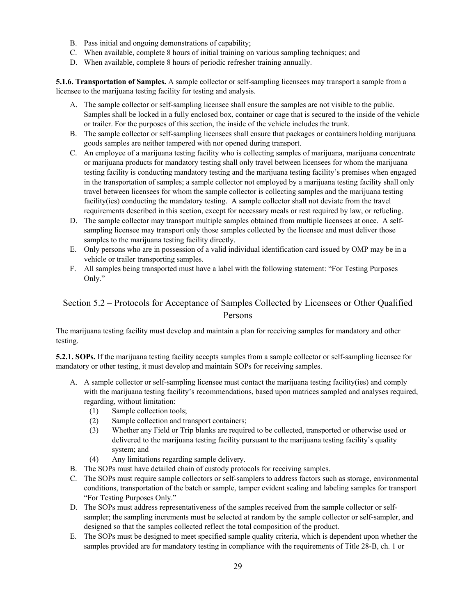- B. Pass initial and ongoing demonstrations of capability;
- C. When available, complete 8 hours of initial training on various sampling techniques; and
- D. When available, complete 8 hours of periodic refresher training annually.

**5.1.6. Transportation of Samples.** A sample collector or self-sampling licensees may transport a sample from a licensee to the marijuana testing facility for testing and analysis.

- A. The sample collector or self-sampling licensee shall ensure the samples are not visible to the public. Samples shall be locked in a fully enclosed box, container or cage that is secured to the inside of the vehicle or trailer. For the purposes of this section, the inside of the vehicle includes the trunk.
- B. The sample collector or self-sampling licensees shall ensure that packages or containers holding marijuana goods samples are neither tampered with nor opened during transport.
- C. An employee of a marijuana testing facility who is collecting samples of marijuana, marijuana concentrate or marijuana products for mandatory testing shall only travel between licensees for whom the marijuana testing facility is conducting mandatory testing and the marijuana testing facility's premises when engaged in the transportation of samples; a sample collector not employed by a marijuana testing facility shall only travel between licensees for whom the sample collector is collecting samples and the marijuana testing facility(ies) conducting the mandatory testing. A sample collector shall not deviate from the travel requirements described in this section, except for necessary meals or rest required by law, or refueling.
- D. The sample collector may transport multiple samples obtained from multiple licensees at once. A selfsampling licensee may transport only those samples collected by the licensee and must deliver those samples to the marijuana testing facility directly.
- E. Only persons who are in possession of a valid individual identification card issued by OMP may be in a vehicle or trailer transporting samples.
- F. All samples being transported must have a label with the following statement: "For Testing Purposes Only."

## <span id="page-28-0"></span>Section 5.2 – Protocols for Acceptance of Samples Collected by Licensees or Other Qualified Persons

The marijuana testing facility must develop and maintain a plan for receiving samples for mandatory and other testing.

**5.2.1. SOPs.** If the marijuana testing facility accepts samples from a sample collector or self-sampling licensee for mandatory or other testing, it must develop and maintain SOPs for receiving samples.

- A. A sample collector or self-sampling licensee must contact the marijuana testing facility(ies) and comply with the marijuana testing facility's recommendations, based upon matrices sampled and analyses required, regarding, without limitation:
	- (1) Sample collection tools;
	- (2) Sample collection and transport containers;
	- (3) Whether any Field or Trip blanks are required to be collected, transported or otherwise used or delivered to the marijuana testing facility pursuant to the marijuana testing facility's quality system; and
	- (4) Any limitations regarding sample delivery.
- B. The SOPs must have detailed chain of custody protocols for receiving samples.
- C. The SOPs must require sample collectors or self-samplers to address factors such as storage, environmental conditions, transportation of the batch or sample, tamper evident sealing and labeling samples for transport "For Testing Purposes Only."
- D. The SOPs must address representativeness of the samples received from the sample collector or selfsampler; the sampling increments must be selected at random by the sample collector or self-sampler, and designed so that the samples collected reflect the total composition of the product.
- E. The SOPs must be designed to meet specified sample quality criteria, which is dependent upon whether the samples provided are for mandatory testing in compliance with the requirements of Title 28-B, ch. 1 or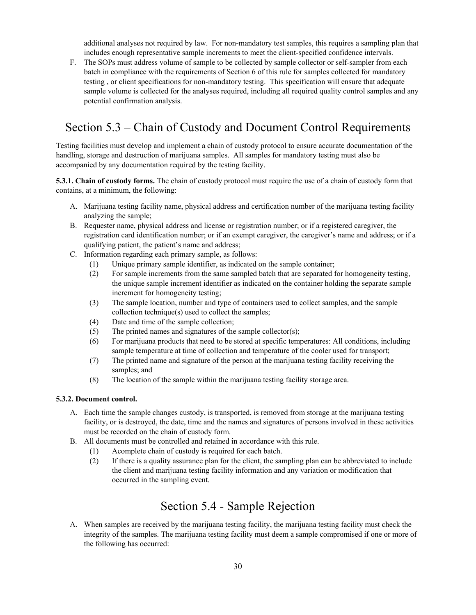additional analyses not required by law. For non-mandatory test samples, this requires a sampling plan that includes enough representative sample increments to meet the client-specified confidence intervals.

F. The SOPs must address volume of sample to be collected by sample collector or self-sampler from each batch in compliance with the requirements of Section 6 of this rule for samples collected for mandatory testing , or client specifications for non-mandatory testing. This specification will ensure that adequate sample volume is collected for the analyses required, including all required quality control samples and any potential confirmation analysis.

# <span id="page-29-0"></span>Section 5.3 – Chain of Custody and Document Control Requirements

Testing facilities must develop and implement a chain of custody protocol to ensure accurate documentation of the handling, storage and destruction of marijuana samples. All samples for mandatory testing must also be accompanied by any documentation required by the testing facility.

**5.3.1. Chain of custody forms.** The chain of custody protocol must require the use of a chain of custody form that contains, at a minimum, the following:

- A. Marijuana testing facility name, physical address and certification number of the marijuana testing facility analyzing the sample;
- B. Requester name, physical address and license or registration number; or if a registered caregiver, the registration card identification number; or if an exempt caregiver, the caregiver's name and address; or if a qualifying patient, the patient's name and address;
- C. Information regarding each primary sample, as follows:
	- (1) Unique primary sample identifier, as indicated on the sample container;
		- (2) For sample increments from the same sampled batch that are separated for homogeneity testing, the unique sample increment identifier as indicated on the container holding the separate sample increment for homogeneity testing;
	- (3) The sample location, number and type of containers used to collect samples, and the sample collection technique(s) used to collect the samples;
	- (4) Date and time of the sample collection;
	- (5) The printed names and signatures of the sample collector(s);
	- (6) For marijuana products that need to be stored at specific temperatures: All conditions, including sample temperature at time of collection and temperature of the cooler used for transport;
	- (7) The printed name and signature of the person at the marijuana testing facility receiving the samples; and
	- (8) The location of the sample within the marijuana testing facility storage area.

#### **5.3.2. Document control.**

- A. Each time the sample changes custody, is transported, is removed from storage at the marijuana testing facility, or is destroyed, the date, time and the names and signatures of persons involved in these activities must be recorded on the chain of custody form.
- B. All documents must be controlled and retained in accordance with this rule.
	- (1) Acomplete chain of custody is required for each batch.
	- (2) If there is a quality assurance plan for the client, the sampling plan can be abbreviated to include the client and marijuana testing facility information and any variation or modification that occurred in the sampling event.

## Section 5.4 - Sample Rejection

<span id="page-29-1"></span>A. When samples are received by the marijuana testing facility, the marijuana testing facility must check the integrity of the samples. The marijuana testing facility must deem a sample compromised if one or more of the following has occurred: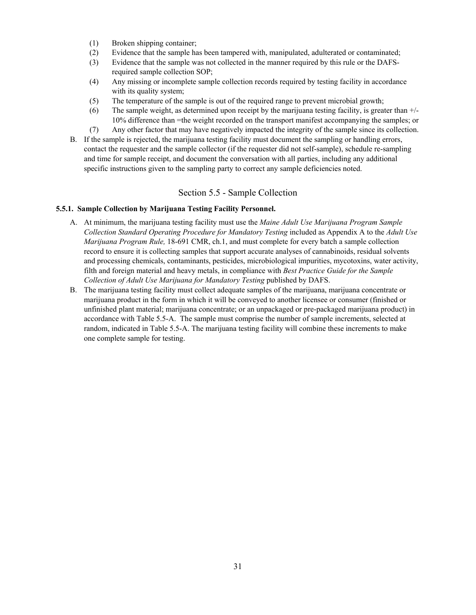- (1) Broken shipping container;
- (2) Evidence that the sample has been tampered with, manipulated, adulterated or contaminated;
- (3) Evidence that the sample was not collected in the manner required by this rule or the DAFSrequired sample collection SOP;
- (4) Any missing or incomplete sample collection records required by testing facility in accordance with its quality system;
- (5) The temperature of the sample is out of the required range to prevent microbial growth;
- (6) The sample weight, as determined upon receipt by the marijuana testing facility, is greater than +/- 10% difference than =the weight recorded on the transport manifest accompanying the samples; or
- (7) Any other factor that may have negatively impacted the integrity of the sample since its collection.
- B. If the sample is rejected, the marijuana testing facility must document the sampling or handling errors, contact the requester and the sample collector (if the requester did not self-sample), schedule re-sampling and time for sample receipt, and document the conversation with all parties, including any additional specific instructions given to the sampling party to correct any sample deficiencies noted.

### Section 5.5 - Sample Collection

#### <span id="page-30-0"></span>**5.5.1. Sample Collection by Marijuana Testing Facility Personnel.**

- A. At minimum, the marijuana testing facility must use the *Maine Adult Use Marijuana Program Sample Collection Standard Operating Procedure for Mandatory Testing* included as Appendix A to the *Adult Use Marijuana Program Rule,* 18-691 CMR, ch.1, and must complete for every batch a sample collection record to ensure it is collecting samples that support accurate analyses of cannabinoids, residual solvents and processing chemicals, contaminants, pesticides, microbiological impurities, mycotoxins, water activity, filth and foreign material and heavy metals, in compliance with *Best Practice Guide for the Sample Collection of Adult Use Marijuana for Mandatory Testing* published by DAFS.
- B. The marijuana testing facility must collect adequate samples of the marijuana, marijuana concentrate or marijuana product in the form in which it will be conveyed to another licensee or consumer (finished or unfinished plant material; marijuana concentrate; or an unpackaged or pre-packaged marijuana product) in accordance with Table 5.5-A. The sample must comprise the number of sample increments, selected at random, indicated in Table 5.5-A. The marijuana testing facility will combine these increments to make one complete sample for testing.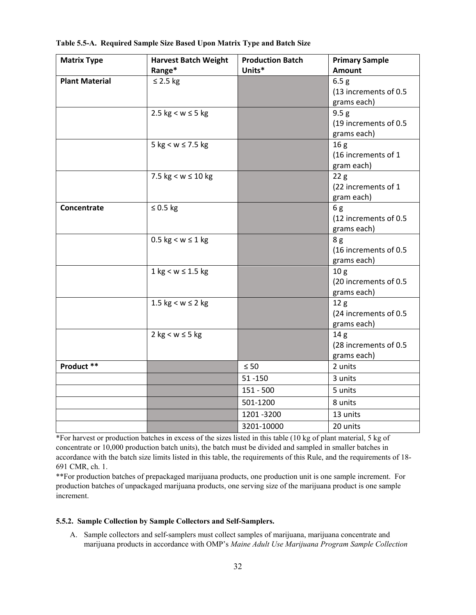| <b>Matrix Type</b>    | <b>Harvest Batch Weight</b>            | <b>Production Batch</b> | <b>Primary Sample</b>  |
|-----------------------|----------------------------------------|-------------------------|------------------------|
|                       | Range*                                 | Units*                  | Amount                 |
| <b>Plant Material</b> | $\leq$ 2.5 kg                          |                         | 6.5 <sub>g</sub>       |
|                       |                                        |                         | (13 increments of 0.5  |
|                       |                                        |                         | grams each)            |
|                       | 2.5 $kg < w \leq 5 kg$                 |                         | 9.5 g                  |
|                       |                                        |                         | (19 increments of 0.5  |
|                       |                                        |                         | grams each)            |
|                       | $5 \text{ kg} < w \le 7.5 \text{ kg}$  |                         | 16 <sub>g</sub>        |
|                       |                                        |                         | (16 increments of 1    |
|                       |                                        |                         | gram each)             |
|                       | 7.5 $kg < w \le 10 kg$                 |                         | 22g                    |
|                       |                                        |                         | (22 increments of 1    |
|                       |                                        |                         | gram each)             |
| Concentrate           | $\leq$ 0.5 kg                          |                         | 6g                     |
|                       |                                        |                         | (12 increments of 0.5  |
|                       |                                        |                         | grams each)            |
|                       | $0.5$ kg < w $\leq$ 1 kg               |                         | 8g                     |
|                       |                                        |                         | (16 increments of 0.5  |
|                       |                                        |                         | grams each)            |
|                       | $1 \text{ kg} < w \leq 1.5 \text{ kg}$ |                         | 10 <sub>g</sub>        |
|                       |                                        |                         | (20 increments of 0.5  |
|                       |                                        |                         | grams each)            |
|                       | 1.5 $kg < w \le 2 kg$                  |                         | 12 <sub>g</sub>        |
|                       |                                        |                         | (24 increments of 0.5) |
|                       |                                        |                         | grams each)            |
|                       | $2$ kg < w $\leq$ 5 kg                 |                         | 14 <sub>g</sub>        |
|                       |                                        |                         | (28 increments of 0.5  |
|                       |                                        |                         | grams each)            |
| Product **            |                                        | $\leq 50$               | 2 units                |
|                       |                                        | $51 - 150$              | 3 units                |
|                       |                                        | $151 - 500$             | 5 units                |
|                       |                                        | 501-1200                | 8 units                |
|                       |                                        | 1201-3200               | 13 units               |
|                       |                                        | 3201-10000              | 20 units               |

**Table 5.5-A. Required Sample Size Based Upon Matrix Type and Batch Size**

\*For harvest or production batches in excess of the sizes listed in this table (10 kg of plant material, 5 kg of concentrate or 10,000 production batch units), the batch must be divided and sampled in smaller batches in accordance with the batch size limits listed in this table, the requirements of this Rule, and the requirements of 18- 691 CMR, ch. 1.

\*\*For production batches of prepackaged marijuana products, one production unit is one sample increment. For production batches of unpackaged marijuana products, one serving size of the marijuana product is one sample increment.

#### **5.5.2. Sample Collection by Sample Collectors and Self-Samplers.**

A. Sample collectors and self-samplers must collect samples of marijuana, marijuana concentrate and marijuana products in accordance with OMP's *Maine Adult Use Marijuana Program Sample Collection*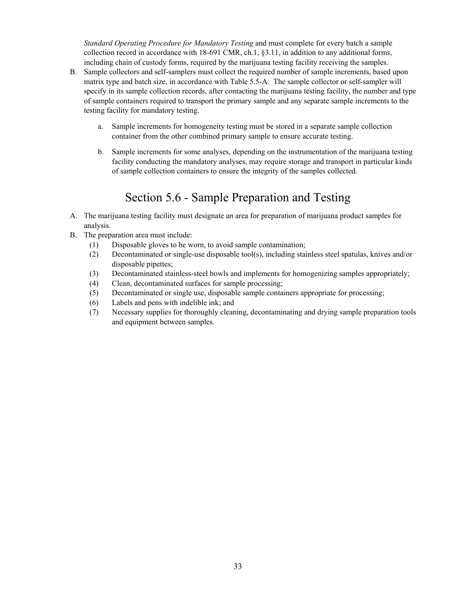*Standard Operating Procedure for Mandatory Testing* and must complete for every batch a sample collection record in accordance with 18-691 CMR, ch.1, §3.11, in addition to any additional forms, including chain of custody forms, required by the marijuana testing facility receiving the samples.

- B. Sample collectors and self-samplers must collect the required number of sample increments, based upon matrix type and batch size, in accordance with Table 5.5-A. The sample collector or self-sampler will specify in its sample collection records, after contacting the marijuana testing facility, the number and type of sample containers required to transport the primary sample and any separate sample increments to the testing facility for mandatory testing.
	- a. Sample increments for homogeneity testing must be stored in a separate sample collection container from the other combined primary sample to ensure accurate testing.
	- b. Sample increments for some analyses, depending on the instrumentation of the marijuana testing facility conducting the mandatory analyses, may require storage and transport in particular kinds of sample collection containers to ensure the integrity of the samples collected.

# Section 5.6 - Sample Preparation and Testing

- <span id="page-32-0"></span>A. The marijuana testing facility must designate an area for preparation of marijuana product samples for analysis.
- B. The preparation area must include:
	- (1) Disposable gloves to be worn, to avoid sample contamination;
	- (2) Decontaminated or single-use disposable tool(s), including stainless steel spatulas, knives and/or disposable pipettes;
	- (3) Decontaminated stainless-steel bowls and implements for homogenizing samples appropriately;
	- (4) Clean, decontaminated surfaces for sample processing;
	- (5) Decontaminated or single use, disposable sample containers appropriate for processing;
	- (6) Labels and pens with indelible ink; and
	- (7) Necessary supplies for thoroughly cleaning, decontaminating and drying sample preparation tools and equipment between samples.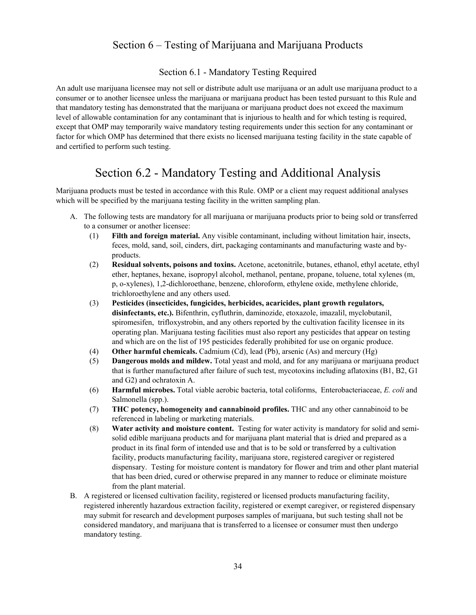## Section 6 – Testing of Marijuana and Marijuana Products

### Section 6.1 - Mandatory Testing Required

<span id="page-33-1"></span><span id="page-33-0"></span>An adult use marijuana licensee may not sell or distribute adult use marijuana or an adult use marijuana product to a consumer or to another licensee unless the marijuana or marijuana product has been tested pursuant to this Rule and that mandatory testing has demonstrated that the marijuana or marijuana product does not exceed the maximum level of allowable contamination for any contaminant that is injurious to health and for which testing is required, except that OMP may temporarily waive mandatory testing requirements under this section for any contaminant or factor for which OMP has determined that there exists no licensed marijuana testing facility in the state capable of and certified to perform such testing.

## Section 6.2 - Mandatory Testing and Additional Analysis

<span id="page-33-2"></span>Marijuana products must be tested in accordance with this Rule. OMP or a client may request additional analyses which will be specified by the marijuana testing facility in the written sampling plan.

- A. The following tests are mandatory for all marijuana or marijuana products prior to being sold or transferred to a consumer or another licensee:
	- (1) **Filth and foreign material.** Any visible contaminant, including without limitation hair, insects, feces, mold, sand, soil, cinders, dirt, packaging contaminants and manufacturing waste and byproducts.
	- (2) **Residual solvents, poisons and toxins.** Acetone, acetonitrile, butanes, ethanol, ethyl acetate, ethyl ether, heptanes, hexane, isopropyl alcohol, methanol, pentane, propane, toluene, total xylenes (m, p, o-xylenes), 1,2-dichloroethane, benzene, chloroform, ethylene oxide, methylene chloride, trichloroethylene and any others used.
	- (3) **Pesticides (insecticides, fungicides, herbicides, acaricides, plant growth regulators, disinfectants, etc.).** Bifenthrin, cyfluthrin, daminozide, etoxazole, imazalil, myclobutanil, spiromesifen, trifloxystrobin, and any others reported by the cultivation facility licensee in its operating plan. Marijuana testing facilities must also report any pesticides that appear on testing and which are on the list of 195 pesticides federally prohibited for use on organic produce.
	- (4) **Other harmful chemicals.** Cadmium (Cd), lead (Pb), arsenic (As) and mercury (Hg)
	- (5) **Dangerous molds and mildew.** Total yeast and mold, and for any marijuana or marijuana product that is further manufactured after failure of such test, mycotoxins including aflatoxins (B1, B2, G1 and G2) and ochratoxin A.
	- (6) **Harmful microbes.** Total viable aerobic bacteria, total coliforms, Enterobacteriaceae, *E. coli* and Salmonella (spp.).
	- (7) **THC potency, homogeneity and cannabinoid profiles.** THC and any other cannabinoid to be referenced in labeling or marketing materials.
	- (8) **Water activity and moisture content.** Testing for water activity is mandatory for solid and semisolid edible marijuana products and for marijuana plant material that is dried and prepared as a product in its final form of intended use and that is to be sold or transferred by a cultivation facility, products manufacturing facility, marijuana store, registered caregiver or registered dispensary. Testing for moisture content is mandatory for flower and trim and other plant material that has been dried, cured or otherwise prepared in any manner to reduce or eliminate moisture from the plant material.
- B. A registered or licensed cultivation facility, registered or licensed products manufacturing facility, registered inherently hazardous extraction facility, registered or exempt caregiver, or registered dispensary may submit for research and development purposes samples of marijuana, but such testing shall not be considered mandatory, and marijuana that is transferred to a licensee or consumer must then undergo mandatory testing.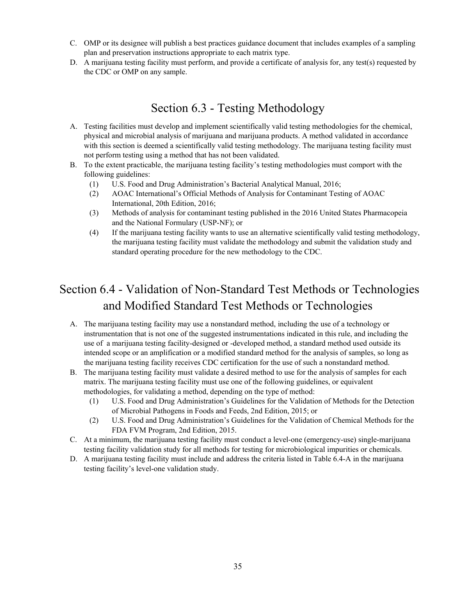- C. OMP or its designee will publish a best practices guidance document that includes examples of a sampling plan and preservation instructions appropriate to each matrix type.
- D. A marijuana testing facility must perform, and provide a certificate of analysis for, any test(s) requested by the CDC or OMP on any sample.

# Section 6.3 - Testing Methodology

- <span id="page-34-0"></span>A. Testing facilities must develop and implement scientifically valid testing methodologies for the chemical, physical and microbial analysis of marijuana and marijuana products. A method validated in accordance with this section is deemed a scientifically valid testing methodology. The marijuana testing facility must not perform testing using a method that has not been validated.
- B. To the extent practicable, the marijuana testing facility's testing methodologies must comport with the following guidelines:
	- (1) U.S. Food and Drug Administration's Bacterial Analytical Manual, 2016;
	- (2) AOAC International's Official Methods of Analysis for Contaminant Testing of AOAC International, 20th Edition, 2016;
	- (3) Methods of analysis for contaminant testing published in the 2016 United States Pharmacopeia and the National Formulary (USP-NF); or
	- (4) If the marijuana testing facility wants to use an alternative scientifically valid testing methodology, the marijuana testing facility must validate the methodology and submit the validation study and standard operating procedure for the new methodology to the CDC.

# <span id="page-34-1"></span>Section 6.4 - Validation of Non-Standard Test Methods or Technologies and Modified Standard Test Methods or Technologies

- A. The marijuana testing facility may use a nonstandard method, including the use of a technology or instrumentation that is not one of the suggested instrumentations indicated in this rule, and including the use of a marijuana testing facility-designed or -developed method, a standard method used outside its intended scope or an amplification or a modified standard method for the analysis of samples, so long as the marijuana testing facility receives CDC certification for the use of such a nonstandard method.
- B. The marijuana testing facility must validate a desired method to use for the analysis of samples for each matrix. The marijuana testing facility must use one of the following guidelines, or equivalent methodologies, for validating a method, depending on the type of method:
	- (1) U.S. Food and Drug Administration's Guidelines for the Validation of Methods for the Detection of Microbial Pathogens in Foods and Feeds, 2nd Edition, 2015; or
	- (2) U.S. Food and Drug Administration's Guidelines for the Validation of Chemical Methods for the FDA FVM Program, 2nd Edition, 2015.
- C. At a minimum, the marijuana testing facility must conduct a level-one (emergency-use) single-marijuana testing facility validation study for all methods for testing for microbiological impurities or chemicals.
- D. A marijuana testing facility must include and address the criteria listed in Table 6.4-A in the marijuana testing facility's level-one validation study.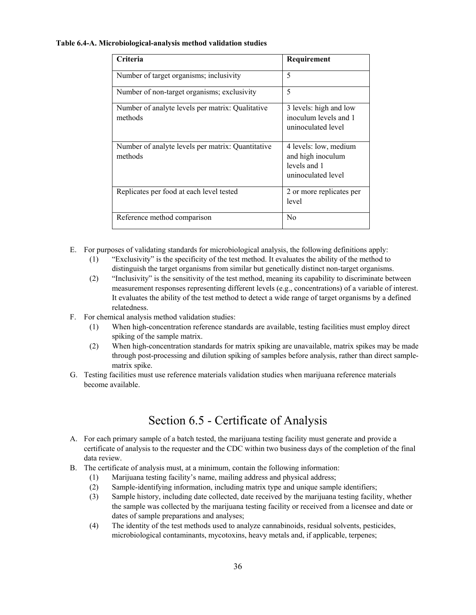#### **Table 6.4-A. Microbiological-analysis method validation studies**

| Criteria                                                     | Requirement                                                                      |
|--------------------------------------------------------------|----------------------------------------------------------------------------------|
| Number of target organisms; inclusivity                      | 5                                                                                |
| Number of non-target organisms; exclusivity                  | 5                                                                                |
| Number of analyte levels per matrix: Qualitative<br>methods  | 3 levels: high and low<br>inoculum levels and 1<br>uninoculated level            |
| Number of analyte levels per matrix: Quantitative<br>methods | 4 levels: low, medium<br>and high inoculum<br>levels and 1<br>uninoculated level |
| Replicates per food at each level tested                     | 2 or more replicates per<br>level                                                |
| Reference method comparison                                  | N <sub>0</sub>                                                                   |

- E. For purposes of validating standards for microbiological analysis, the following definitions apply:
	- (1) "Exclusivity" is the specificity of the test method. It evaluates the ability of the method to distinguish the target organisms from similar but genetically distinct non-target organisms.
	- (2) "Inclusivity" is the sensitivity of the test method, meaning its capability to discriminate between measurement responses representing different levels (e.g., concentrations) of a variable of interest. It evaluates the ability of the test method to detect a wide range of target organisms by a defined relatedness.
- F. For chemical analysis method validation studies:
	- (1) When high-concentration reference standards are available, testing facilities must employ direct spiking of the sample matrix.
	- (2) When high-concentration standards for matrix spiking are unavailable, matrix spikes may be made through post-processing and dilution spiking of samples before analysis, rather than direct samplematrix spike.
- <span id="page-35-0"></span>G. Testing facilities must use reference materials validation studies when marijuana reference materials become available.

# Section 6.5 - Certificate of Analysis

- A. For each primary sample of a batch tested, the marijuana testing facility must generate and provide a certificate of analysis to the requester and the CDC within two business days of the completion of the final data review.
- B. The certificate of analysis must, at a minimum, contain the following information:
	- (1) Marijuana testing facility's name, mailing address and physical address;
	- (2) Sample-identifying information, including matrix type and unique sample identifiers;
	- (3) Sample history, including date collected, date received by the marijuana testing facility, whether the sample was collected by the marijuana testing facility or received from a licensee and date or dates of sample preparations and analyses;
	- (4) The identity of the test methods used to analyze cannabinoids, residual solvents, pesticides, microbiological contaminants, mycotoxins, heavy metals and, if applicable, terpenes;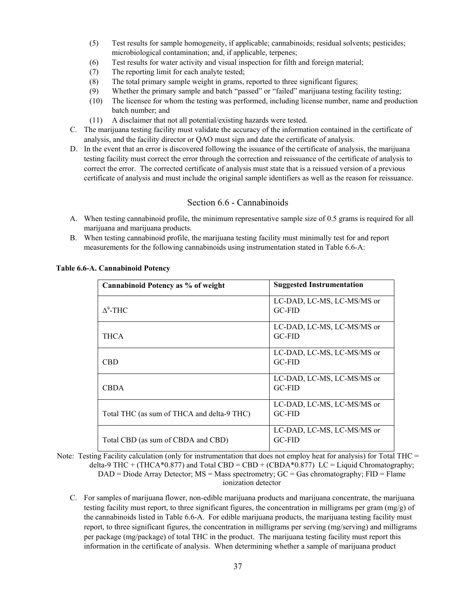- (5) Test results for sample homogeneity, if applicable; cannabinoids; residual solvents; pesticides; microbiological contamination; and, if applicable, terpenes;
- (6) Test results for water activity and visual inspection for filth and foreign material;
- (7) The reporting limit for each analyte tested;
- (8) The total primary sample weight in grams, reported to three significant figures;
- (9) Whether the primary sample and batch "passed" or "failed" marijuana testing facility testing;
- (10) The licensee for whom the testing was performed, including license number, name and production batch number; and
- (11) A disclaimer that not all potential/existing hazards were tested.
- C. The marijuana testing facility must validate the accuracy of the information contained in the certificate of analysis, and the facility director or QAO must sign and date the certificate of analysis.
- D. In the event that an error is discovered following the issuance of the certificate of analysis, the marijuana testing facility must correct the error through the correction and reissuance of the certificate of analysis to correct the error. The corrected certificate of analysis must state that is a reissued version of a previous certificate of analysis and must include the original sample identifiers as well as the reason for reissuance.

### Section 6.6 - Cannabinoids

- <span id="page-36-0"></span>A. When testing cannabinoid profile, the minimum representative sample size of 0.5 grams is required for all marijuana and marijuana products.
- B. When testing cannabinoid profile, the marijuana testing facility must minimally test for and report measurements for the following cannabinoids using instrumentation stated in Table 6.6-A:

| Cannabinoid Potency as % of weight         | <b>Suggested Instrumentation</b>            |
|--------------------------------------------|---------------------------------------------|
| $\Lambda^9$ -THC                           | LC-DAD, LC-MS, LC-MS/MS or<br>$GC-FID$      |
| <b>THCA</b>                                | LC-DAD, LC-MS, LC-MS/MS or<br>$GC-FID$      |
| CBD                                        | LC-DAD, LC-MS, LC-MS/MS or<br>$GC-FID$      |
| <b>CBDA</b>                                | LC-DAD, LC-MS, LC-MS/MS or<br>$GC-FID$      |
| Total THC (as sum of THCA and delta-9 THC) | LC-DAD, LC-MS, LC-MS/MS or<br>$GC-FID$      |
| Total CBD (as sum of CBDA and CBD)         | LC-DAD, LC-MS, LC-MS/MS or<br><b>GC-FID</b> |

#### **Table 6.6-A. Cannabinoid Potency**

Note: Testing Facility calculation (only for instrumentation that does not employ heat for analysis) for Total THC = delta-9 THC + (THCA\*0.877) and Total CBD = CBD + (CBDA\*0.877) LC = Liquid Chromatography;  $DAD = Diode$  Array Detector;  $MS = Mass$  spectrometry;  $GC = Gas$  chromatography;  $FID =$  Flame ionization detector

C. For samples of marijuana flower, non-edible marijuana products and marijuana concentrate, the marijuana testing facility must report, to three significant figures, the concentration in milligrams per gram (mg/g) of the cannabinoids listed in Table 6.6-A. For edible marijuana products, the marijuana testing facility must report, to three significant figures, the concentration in milligrams per serving (mg/serving) and milligrams per package (mg/package) of total THC in the product. The marijuana testing facility must report this information in the certificate of analysis. When determining whether a sample of marijuana product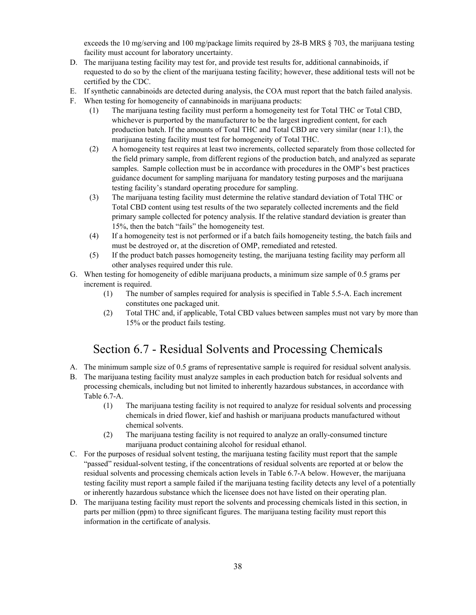exceeds the 10 mg/serving and 100 mg/package limits required by 28-B MRS § 703, the marijuana testing facility must account for laboratory uncertainty.

- D. The marijuana testing facility may test for, and provide test results for, additional cannabinoids, if requested to do so by the client of the marijuana testing facility; however, these additional tests will not be certified by the CDC.
- E. If synthetic cannabinoids are detected during analysis, the COA must report that the batch failed analysis.
- F. When testing for homogeneity of cannabinoids in marijuana products:
	- (1) The marijuana testing facility must perform a homogeneity test for Total THC or Total CBD, whichever is purported by the manufacturer to be the largest ingredient content, for each production batch. If the amounts of Total THC and Total CBD are very similar (near 1:1), the marijuana testing facility must test for homogeneity of Total THC.
	- (2) A homogeneity test requires at least two increments, collected separately from those collected for the field primary sample, from different regions of the production batch, and analyzed as separate samples. Sample collection must be in accordance with procedures in the OMP's best practices guidance document for sampling marijuana for mandatory testing purposes and the marijuana testing facility's standard operating procedure for sampling.
	- (3) The marijuana testing facility must determine the relative standard deviation of Total THC or Total CBD content using test results of the two separately collected increments and the field primary sample collected for potency analysis. If the relative standard deviation is greater than 15%, then the batch "fails" the homogeneity test.
	- (4) If a homogeneity test is not performed or if a batch fails homogeneity testing, the batch fails and must be destroyed or, at the discretion of OMP, remediated and retested.
	- (5) If the product batch passes homogeneity testing, the marijuana testing facility may perform all other analyses required under this rule.
- G. When testing for homogeneity of edible marijuana products, a minimum size sample of 0.5 grams per increment is required.
	- (1) The number of samples required for analysis is specified in Table 5.5-A. Each increment constitutes one packaged unit.
	- (2) Total THC and, if applicable, Total CBD values between samples must not vary by more than 15% or the product fails testing.

## Section 6.7 - Residual Solvents and Processing Chemicals

- <span id="page-37-0"></span>A. The minimum sample size of 0.5 grams of representative sample is required for residual solvent analysis.
- B. The marijuana testing facility must analyze samples in each production batch for residual solvents and processing chemicals, including but not limited to inherently hazardous substances, in accordance with Table 6.7-A.
	- (1) The marijuana testing facility is not required to analyze for residual solvents and processing chemicals in dried flower, kief and hashish or marijuana products manufactured without chemical solvents.
	- (2) The marijuana testing facility is not required to analyze an orally-consumed tincture marijuana product containing alcohol for residual ethanol.
- C. For the purposes of residual solvent testing, the marijuana testing facility must report that the sample "passed" residual-solvent testing, if the concentrations of residual solvents are reported at or below the residual solvents and processing chemicals action levels in Table 6.7-A below. However, the marijuana testing facility must report a sample failed if the marijuana testing facility detects any level of a potentially or inherently hazardous substance which the licensee does not have listed on their operating plan.
- D. The marijuana testing facility must report the solvents and processing chemicals listed in this section, in parts per million (ppm) to three significant figures. The marijuana testing facility must report this information in the certificate of analysis.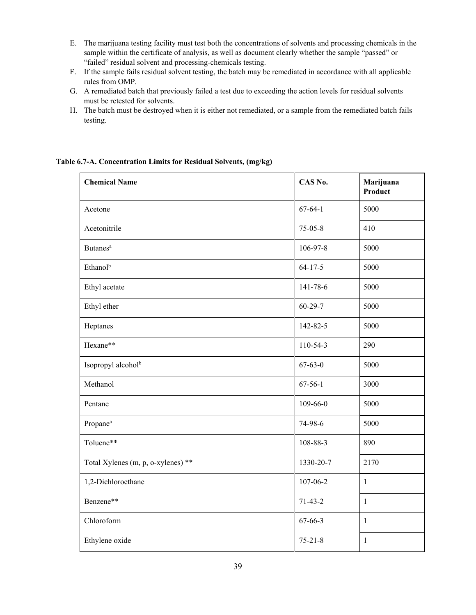- E. The marijuana testing facility must test both the concentrations of solvents and processing chemicals in the sample within the certificate of analysis, as well as document clearly whether the sample "passed" or "failed" residual solvent and processing-chemicals testing.
- F. If the sample fails residual solvent testing, the batch may be remediated in accordance with all applicable rules from OMP.
- G. A remediated batch that previously failed a test due to exceeding the action levels for residual solvents must be retested for solvents.
- H. The batch must be destroyed when it is either not remediated, or a sample from the remediated batch fails testing.

**Table 6.7-A. Concentration Limits for Residual Solvents, (mg/kg)**

| <b>Chemical Name</b>               | CAS No.        | Marijuana<br>Product |
|------------------------------------|----------------|----------------------|
| Acetone                            | $67 - 64 - 1$  | 5000                 |
| Acetonitrile                       | $75 - 05 - 8$  | 410                  |
| <b>Butanes</b> <sup>a</sup>        | 106-97-8       | 5000                 |
| Ethanol <sup>b</sup>               | $64 - 17 - 5$  | 5000                 |
| Ethyl acetate                      | 141-78-6       | 5000                 |
| Ethyl ether                        | $60 - 29 - 7$  | 5000                 |
| Heptanes                           | 142-82-5       | 5000                 |
| Hexane**                           | 110-54-3       | 290                  |
| Isopropyl alcohol <sup>b</sup>     | $67 - 63 - 0$  | 5000                 |
| Methanol                           | $67 - 56 - 1$  | 3000                 |
| Pentane                            | $109 - 66 - 0$ | 5000                 |
| Propane <sup>a</sup>               | 74-98-6        | 5000                 |
| Toluene**                          | 108-88-3       | 890                  |
| Total Xylenes (m, p, o-xylenes) ** | 1330-20-7      | 2170                 |
| 1,2-Dichloroethane                 | $107 - 06 - 2$ | $\mathbf{1}$         |
| Benzene**                          | $71-43-2$      | $\mathbf{1}$         |
| Chloroform                         | 67-66-3        | $\mathbf{1}$         |
| Ethylene oxide                     | $75 - 21 - 8$  | $\mathbf{1}$         |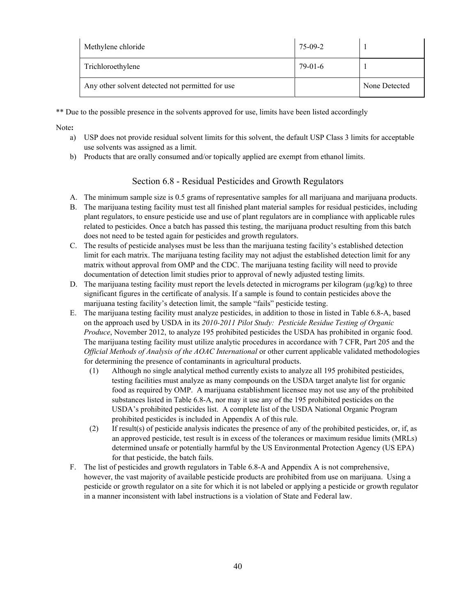| Methylene chloride                               | 75-09-2 |               |
|--------------------------------------------------|---------|---------------|
| Trichloroethylene                                | 79-01-6 |               |
| Any other solvent detected not permitted for use |         | None Detected |

\*\* Due to the possible presence in the solvents approved for use, limits have been listed accordingly

Note**:** 

- a) USP does not provide residual solvent limits for this solvent, the default USP Class 3 limits for acceptable use solvents was assigned as a limit.
- <span id="page-39-0"></span>b) Products that are orally consumed and/or topically applied are exempt from ethanol limits.

## Section 6.8 - Residual Pesticides and Growth Regulators

- A. The minimum sample size is 0.5 grams of representative samples for all marijuana and marijuana products.
- B. The marijuana testing facility must test all finished plant material samples for residual pesticides, including plant regulators, to ensure pesticide use and use of plant regulators are in compliance with applicable rules related to pesticides. Once a batch has passed this testing, the marijuana product resulting from this batch does not need to be tested again for pesticides and growth regulators.
- C. The results of pesticide analyses must be less than the marijuana testing facility's established detection limit for each matrix. The marijuana testing facility may not adjust the established detection limit for any matrix without approval from OMP and the CDC. The marijuana testing facility will need to provide documentation of detection limit studies prior to approval of newly adjusted testing limits.
- D. The marijuana testing facility must report the levels detected in micrograms per kilogram  $(\mu g/kg)$  to three significant figures in the certificate of analysis. If a sample is found to contain pesticides above the marijuana testing facility's detection limit, the sample "fails" pesticide testing.
- E. The marijuana testing facility must analyze pesticides, in addition to those in listed in Table 6.8-A, based on the approach used by USDA in its *2010-2011 Pilot Study: Pesticide Residue Testing of Organic Produce*, November 2012, to analyze 195 prohibited pesticides the USDA has prohibited in organic food. The marijuana testing facility must utilize analytic procedures in accordance with 7 CFR, Part 205 and the *Official Methods of Analysis of the AOAC International* or other current applicable validated methodologies for determining the presence of contaminants in agricultural products.
	- (1) Although no single analytical method currently exists to analyze all 195 prohibited pesticides, testing facilities must analyze as many compounds on the USDA target analyte list for organic food as required by OMP. A marijuana establishment licensee may not use any of the prohibited substances listed in Table 6.8-A, nor may it use any of the 195 prohibited pesticides on the USDA's prohibited pesticides list. A complete list of the USDA National Organic Program prohibited pesticides is included in Appendix A of this rule.
	- (2) If result(s) of pesticide analysis indicates the presence of any of the prohibited pesticides, or, if, as an approved pesticide, test result is in excess of the tolerances or maximum residue limits (MRLs) determined unsafe or potentially harmful by the US Environmental Protection Agency (US EPA) for that pesticide, the batch fails.
- F. The list of pesticides and growth regulators in Table 6.8-A and Appendix A is not comprehensive, however, the vast majority of available pesticide products are prohibited from use on marijuana. Using a pesticide or growth regulator on a site for which it is not labeled or applying a pesticide or growth regulator in a manner inconsistent with label instructions is a violation of State and Federal law.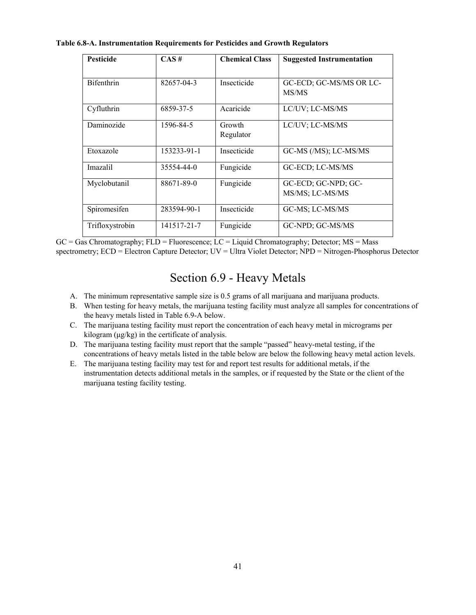| Table 6.8-A. Instrumentation Requirements for Pesticides and Growth Regulators |  |  |  |
|--------------------------------------------------------------------------------|--|--|--|
|--------------------------------------------------------------------------------|--|--|--|

| <b>Pesticide</b>  | $CAS \#$    | <b>Chemical Class</b> | <b>Suggested Instrumentation</b>       |
|-------------------|-------------|-----------------------|----------------------------------------|
| <b>Bifenthrin</b> | 82657-04-3  | Insecticide           | GC-ECD; GC-MS/MS OR LC-<br>MS/MS       |
| Cyfluthrin        | 6859-37-5   | Acaricide             | LC/UV; LC-MS/MS                        |
| Daminozide        | 1596-84-5   | Growth<br>Regulator   | LC/UV; LC-MS/MS                        |
| Etoxazole         | 153233-91-1 | Insecticide           | GC-MS (/MS); LC-MS/MS                  |
| Imazalil          | 35554-44-0  | Fungicide             | GC-ECD; LC-MS/MS                       |
| Myclobutanil      | 88671-89-0  | Fungicide             | GC-ECD; GC-NPD; GC-<br>MS/MS; LC-MS/MS |
| Spiromesifen      | 283594-90-1 | Insecticide           | GC-MS; LC-MS/MS                        |
| Trifloxystrobin   | 141517-21-7 | Fungicide             | GC-NPD; GC-MS/MS                       |

<span id="page-40-0"></span> $GC = Gas Chromatography$ ;  $FLD = Fluorescence$ ;  $LC = Liquid Chromatography$ ;  $Detector$ ;  $MS = Mass$ spectrometry; ECD = Electron Capture Detector; UV = Ultra Violet Detector; NPD = Nitrogen-Phosphorus Detector

# Section 6.9 - Heavy Metals

- A. The minimum representative sample size is 0.5 grams of all marijuana and marijuana products.
- B. When testing for heavy metals, the marijuana testing facility must analyze all samples for concentrations of the heavy metals listed in Table 6.9-A below.
- C. The marijuana testing facility must report the concentration of each heavy metal in micrograms per kilogram (μg/kg) in the certificate of analysis.
- D. The marijuana testing facility must report that the sample "passed" heavy-metal testing, if the concentrations of heavy metals listed in the table below are below the following heavy metal action levels.
- E. The marijuana testing facility may test for and report test results for additional metals, if the instrumentation detects additional metals in the samples, or if requested by the State or the client of the marijuana testing facility testing.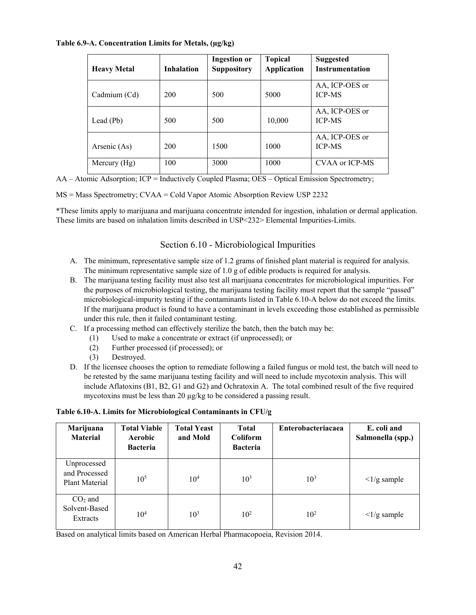### **Table 6.9-A. Concentration Limits for Metals, (µg/kg)**

| <b>Heavy Metal</b> | <b>Inhalation</b> | <b>Ingestion or</b><br><b>Suppository</b> | <b>Topical</b><br><b>Application</b> | <b>Suggested</b><br><b>Instrumentation</b> |
|--------------------|-------------------|-------------------------------------------|--------------------------------------|--------------------------------------------|
| Cadmium (Cd)       | 200               | 500                                       | 5000                                 | AA, ICP-OES or<br><b>ICP-MS</b>            |
| Lead (Pb)          | 500               | 500                                       | 10,000                               | AA, ICP-OES or<br><b>ICP-MS</b>            |
| Arsenic (As)       | 200               | 1500                                      | 1000                                 | AA, ICP-OES or<br><b>ICP-MS</b>            |
| Mercury $(Hg)$     | 100               | 3000                                      | 1000                                 | CVAA or ICP-MS                             |

AA – Atomic Adsorption; ICP = Inductively Coupled Plasma; OES – Optical Emission Spectrometry;

MS = Mass Spectrometry; CVAA = Cold Vapor Atomic Absorption Review USP 2232

<span id="page-41-0"></span>\*These limits apply to marijuana and marijuana concentrate intended for ingestion, inhalation or dermal application. These limits are based on inhalation limits described in USP<232> Elemental Impurities-Limits.

## Section 6.10 - Microbiological Impurities

- A. The minimum, representative sample size of 1.2 grams of finished plant material is required for analysis. The minimum representative sample size of 1.0 g of edible products is required for analysis.
- B. The marijuana testing facility must also test all marijuana concentrates for microbiological impurities. For the purposes of microbiological testing, the marijuana testing facility must report that the sample "passed" microbiological-impurity testing if the contaminants listed in Table 6.10-A below do not exceed the limits. If the marijuana product is found to have a contaminant in levels exceeding those established as permissible under this rule, then it failed contaminant testing.
- C. If a processing method can effectively sterilize the batch, then the batch may be:
	- (1) Used to make a concentrate or extract (if unprocessed); or
	- (2) Further processed (if processed); or
	- (3) Destroyed.
- D. If the licensee chooses the option to remediate following a failed fungus or mold test, the batch will need to be retested by the same marijuana testing facility and will need to include mycotoxin analysis. This will include Aflatoxins (B1, B2, G1 and G2) and Ochratoxin A. The total combined result of the five required mycotoxins must be less than 20  $\mu$ g/kg to be considered a passing result.

#### **Table 6.10-A. Limits for Microbiological Contaminants in CFU/g**

| Marijuana<br><b>Material</b>                   | <b>Total Viable</b><br>Aerobic<br><b>Bacteria</b> | <b>Total Yeast</b><br>and Mold | <b>Total</b><br><b>Coliform</b><br><b>Bacteria</b> | <b>Enterobacteriacaea</b> | E. coli and<br>Salmonella (spp.)     |
|------------------------------------------------|---------------------------------------------------|--------------------------------|----------------------------------------------------|---------------------------|--------------------------------------|
| Unprocessed<br>and Processed<br>Plant Material | $10^{5}$                                          | 10 <sup>4</sup>                | $10^{3}$                                           | $10^{3}$                  | $\langle 1/g \text{ sample} \rangle$ |
| $CO2$ and<br>Solvent-Based<br>Extracts         | 10 <sup>4</sup>                                   | 10 <sup>3</sup>                | 10 <sup>2</sup>                                    | 10 <sup>2</sup>           | $\langle 1/g \text{ sample} \rangle$ |

Based on analytical limits based on American Herbal Pharmacopoeia, Revision 2014.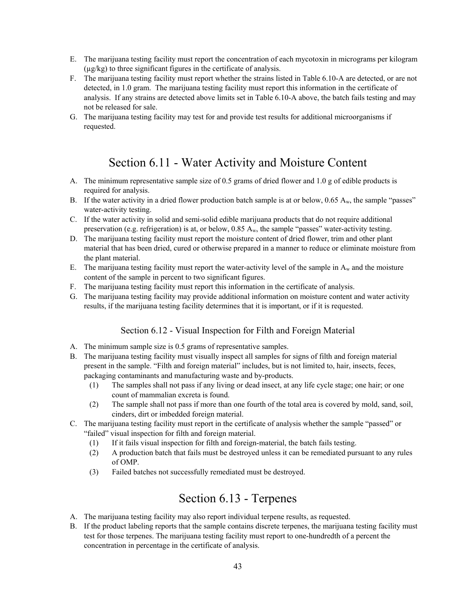- E. The marijuana testing facility must report the concentration of each mycotoxin in micrograms per kilogram (µg/kg) to three significant figures in the certificate of analysis.
- F. The marijuana testing facility must report whether the strains listed in Table 6.10-A are detected, or are not detected, in 1.0 gram. The marijuana testing facility must report this information in the certificate of analysis. If any strains are detected above limits set in Table 6.10-A above, the batch fails testing and may not be released for sale.
- <span id="page-42-0"></span>G. The marijuana testing facility may test for and provide test results for additional microorganisms if requested.

## Section 6.11 - Water Activity and Moisture Content

- A. The minimum representative sample size of 0.5 grams of dried flower and 1.0 g of edible products is required for analysis.
- B. If the water activity in a dried flower production batch sample is at or below, 0.65 A<sub>w</sub>, the sample "passes" water-activity testing.
- C. If the water activity in solid and semi-solid edible marijuana products that do not require additional preservation (e.g. refrigeration) is at, or below,  $0.85 A_w$ , the sample "passes" water-activity testing.
- D. The marijuana testing facility must report the moisture content of dried flower, trim and other plant material that has been dried, cured or otherwise prepared in a manner to reduce or eliminate moisture from the plant material.
- E. The marijuana testing facility must report the water-activity level of the sample in  $A_w$  and the moisture content of the sample in percent to two significant figures.
- F. The marijuana testing facility must report this information in the certificate of analysis.
- <span id="page-42-1"></span>G. The marijuana testing facility may provide additional information on moisture content and water activity results, if the marijuana testing facility determines that it is important, or if it is requested.

#### Section 6.12 - Visual Inspection for Filth and Foreign Material

- A. The minimum sample size is 0.5 grams of representative samples.
- B. The marijuana testing facility must visually inspect all samples for signs of filth and foreign material present in the sample. "Filth and foreign material" includes, but is not limited to, hair, insects, feces, packaging contaminants and manufacturing waste and by-products.
	- (1) The samples shall not pass if any living or dead insect, at any life cycle stage; one hair; or one count of mammalian excreta is found.
	- (2) The sample shall not pass if more than one fourth of the total area is covered by mold, sand, soil, cinders, dirt or imbedded foreign material.
- C. The marijuana testing facility must report in the certificate of analysis whether the sample "passed" or "failed" visual inspection for filth and foreign material.
	- (1) If it fails visual inspection for filth and foreign-material, the batch fails testing.
	- (2) A production batch that fails must be destroyed unless it can be remediated pursuant to any rules of OMP.
	- (3) Failed batches not successfully remediated must be destroyed.

## Section 6.13 - Terpenes

- <span id="page-42-2"></span>A. The marijuana testing facility may also report individual terpene results, as requested.
- B. If the product labeling reports that the sample contains discrete terpenes, the marijuana testing facility must test for those terpenes. The marijuana testing facility must report to one-hundredth of a percent the concentration in percentage in the certificate of analysis.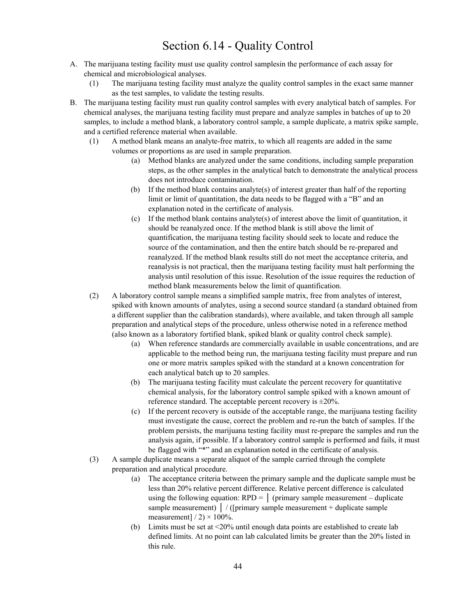# Section 6.14 - Quality Control

- <span id="page-43-0"></span>A. The marijuana testing facility must use quality control samplesin the performance of each assay for chemical and microbiological analyses.
	- (1) The marijuana testing facility must analyze the quality control samples in the exact same manner as the test samples, to validate the testing results.
- B. The marijuana testing facility must run quality control samples with every analytical batch of samples. For chemical analyses, the marijuana testing facility must prepare and analyze samples in batches of up to 20 samples, to include a method blank, a laboratory control sample, a sample duplicate, a matrix spike sample, and a certified reference material when available.
	- (1) A method blank means an analyte-free matrix, to which all reagents are added in the same volumes or proportions as are used in sample preparation.
		- (a) Method blanks are analyzed under the same conditions, including sample preparation steps, as the other samples in the analytical batch to demonstrate the analytical process does not introduce contamination.
		- (b) If the method blank contains analyte(s) of interest greater than half of the reporting limit or limit of quantitation, the data needs to be flagged with a "B" and an explanation noted in the certificate of analysis.
		- (c) If the method blank contains analyte(s) of interest above the limit of quantitation, it should be reanalyzed once. If the method blank is still above the limit of quantification, the marijuana testing facility should seek to locate and reduce the source of the contamination, and then the entire batch should be re-prepared and reanalyzed. If the method blank results still do not meet the acceptance criteria, and reanalysis is not practical, then the marijuana testing facility must halt performing the analysis until resolution of this issue. Resolution of the issue requires the reduction of method blank measurements below the limit of quantification.
	- (2) A laboratory control sample means a simplified sample matrix, free from analytes of interest, spiked with known amounts of analytes, using a second source standard (a standard obtained from a different supplier than the calibration standards), where available, and taken through all sample preparation and analytical steps of the procedure, unless otherwise noted in a reference method (also known as a laboratory fortified blank, spiked blank or quality control check sample).
		- (a) When reference standards are commercially available in usable concentrations, and are applicable to the method being run, the marijuana testing facility must prepare and run one or more matrix samples spiked with the standard at a known concentration for each analytical batch up to 20 samples.
		- (b) The marijuana testing facility must calculate the percent recovery for quantitative chemical analysis, for the laboratory control sample spiked with a known amount of reference standard. The acceptable percent recovery is  $\pm 20\%$ .
		- (c) If the percent recovery is outside of the acceptable range, the marijuana testing facility must investigate the cause, correct the problem and re-run the batch of samples. If the problem persists, the marijuana testing facility must re-prepare the samples and run the analysis again, if possible. If a laboratory control sample is performed and fails, it must be flagged with "\*" and an explanation noted in the certificate of analysis.
	- (3) A sample duplicate means a separate aliquot of the sample carried through the complete preparation and analytical procedure.
		- (a) The acceptance criteria between the primary sample and the duplicate sample must be less than 20% relative percent difference. Relative percent difference is calculated using the following equation:  $RPD = |$  (primary sample measurement – duplicate sample measurement)  $\frac{1}{2}$  / ([primary sample measurement + duplicate sample measurement]  $/ 2$ )  $\times$  100%.
		- (b) Limits must be set at <20% until enough data points are established to create lab defined limits. At no point can lab calculated limits be greater than the 20% listed in this rule.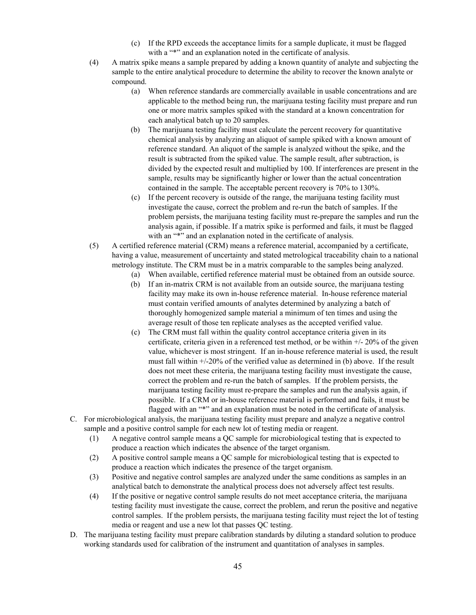- (c) If the RPD exceeds the acceptance limits for a sample duplicate, it must be flagged with a "\*" and an explanation noted in the certificate of analysis.
- (4) A matrix spike means a sample prepared by adding a known quantity of analyte and subjecting the sample to the entire analytical procedure to determine the ability to recover the known analyte or compound.
	- (a) When reference standards are commercially available in usable concentrations and are applicable to the method being run, the marijuana testing facility must prepare and run one or more matrix samples spiked with the standard at a known concentration for each analytical batch up to 20 samples.
	- (b) The marijuana testing facility must calculate the percent recovery for quantitative chemical analysis by analyzing an aliquot of sample spiked with a known amount of reference standard. An aliquot of the sample is analyzed without the spike, and the result is subtracted from the spiked value. The sample result, after subtraction, is divided by the expected result and multiplied by 100. If interferences are present in the sample, results may be significantly higher or lower than the actual concentration contained in the sample. The acceptable percent recovery is 70% to 130%.
	- (c) If the percent recovery is outside of the range, the marijuana testing facility must investigate the cause, correct the problem and re-run the batch of samples. If the problem persists, the marijuana testing facility must re-prepare the samples and run the analysis again, if possible. If a matrix spike is performed and fails, it must be flagged with an "\*" and an explanation noted in the certificate of analysis.
- (5) A certified reference material (CRM) means a reference material, accompanied by a certificate, having a value, measurement of uncertainty and stated metrological traceability chain to a national metrology institute. The CRM must be in a matrix comparable to the samples being analyzed.
	- (a) When available, certified reference material must be obtained from an outside source.
	- (b) If an in-matrix CRM is not available from an outside source, the marijuana testing facility may make its own in-house reference material. In-house reference material must contain verified amounts of analytes determined by analyzing a batch of thoroughly homogenized sample material a minimum of ten times and using the average result of those ten replicate analyses as the accepted verified value.
	- (c) The CRM must fall within the quality control acceptance criteria given in its certificate, criteria given in a referenced test method, or be within +/- 20% of the given value, whichever is most stringent. If an in-house reference material is used, the result must fall within  $\pm$ /-20% of the verified value as determined in (b) above. If the result does not meet these criteria, the marijuana testing facility must investigate the cause, correct the problem and re-run the batch of samples. If the problem persists, the marijuana testing facility must re-prepare the samples and run the analysis again, if possible. If a CRM or in-house reference material is performed and fails, it must be flagged with an "\*" and an explanation must be noted in the certificate of analysis.
- C. For microbiological analysis, the marijuana testing facility must prepare and analyze a negative control sample and a positive control sample for each new lot of testing media or reagent.
	- (1) A negative control sample means a QC sample for microbiological testing that is expected to produce a reaction which indicates the absence of the target organism.
	- (2) A positive control sample means a QC sample for microbiological testing that is expected to produce a reaction which indicates the presence of the target organism.
	- (3) Positive and negative control samples are analyzed under the same conditions as samples in an analytical batch to demonstrate the analytical process does not adversely affect test results.
	- (4) If the positive or negative control sample results do not meet acceptance criteria, the marijuana testing facility must investigate the cause, correct the problem, and rerun the positive and negative control samples. If the problem persists, the marijuana testing facility must reject the lot of testing media or reagent and use a new lot that passes QC testing.
- D. The marijuana testing facility must prepare calibration standards by diluting a standard solution to produce working standards used for calibration of the instrument and quantitation of analyses in samples.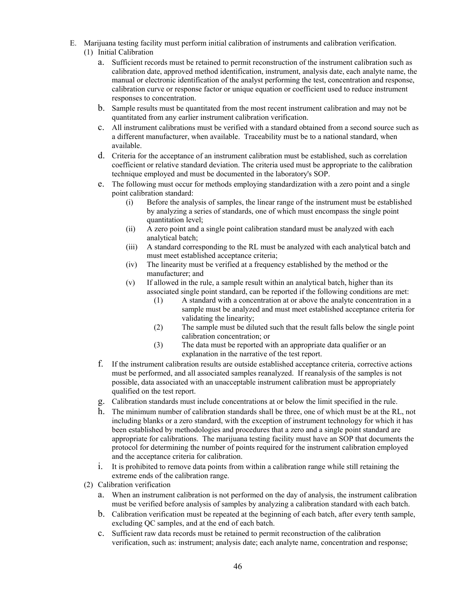- E. Marijuana testing facility must perform initial calibration of instruments and calibration verification. (1) Initial Calibration
	- - a. Sufficient records must be retained to permit reconstruction of the instrument calibration such as calibration date, approved method identification, instrument, analysis date, each analyte name, the manual or electronic identification of the analyst performing the test, concentration and response, calibration curve or response factor or unique equation or coefficient used to reduce instrument responses to concentration.
		- b. Sample results must be quantitated from the most recent instrument calibration and may not be quantitated from any earlier instrument calibration verification.
		- c. All instrument calibrations must be verified with a standard obtained from a second source such as a different manufacturer, when available. Traceability must be to a national standard, when available.
		- d. Criteria for the acceptance of an instrument calibration must be established, such as correlation coefficient or relative standard deviation. The criteria used must be appropriate to the calibration technique employed and must be documented in the laboratory's SOP.
		- e. The following must occur for methods employing standardization with a zero point and a single point calibration standard:
			- (i) Before the analysis of samples, the linear range of the instrument must be established by analyzing a series of standards, one of which must encompass the single point quantitation level;
			- (ii) A zero point and a single point calibration standard must be analyzed with each analytical batch;
			- (iii) A standard corresponding to the RL must be analyzed with each analytical batch and must meet established acceptance criteria;
			- (iv) The linearity must be verified at a frequency established by the method or the manufacturer; and
			- (v) If allowed in the rule, a sample result within an analytical batch, higher than its associated single point standard, can be reported if the following conditions are met:
				- (1) A standard with a concentration at or above the analyte concentration in a sample must be analyzed and must meet established acceptance criteria for validating the linearity;
				- (2) The sample must be diluted such that the result falls below the single point calibration concentration; or
				- (3) The data must be reported with an appropriate data qualifier or an explanation in the narrative of the test report.
		- f. If the instrument calibration results are outside established acceptance criteria, corrective actions must be performed, and all associated samples reanalyzed. If reanalysis of the samples is not possible, data associated with an unacceptable instrument calibration must be appropriately qualified on the test report.
		- g. Calibration standards must include concentrations at or below the limit specified in the rule.
		- h. The minimum number of calibration standards shall be three, one of which must be at the RL, not including blanks or a zero standard, with the exception of instrument technology for which it has been established by methodologies and procedures that a zero and a single point standard are appropriate for calibrations. The marijuana testing facility must have an SOP that documents the protocol for determining the number of points required for the instrument calibration employed and the acceptance criteria for calibration.
		- i. It is prohibited to remove data points from within a calibration range while still retaining the extreme ends of the calibration range.
	- (2) Calibration verification
		- a. When an instrument calibration is not performed on the day of analysis, the instrument calibration must be verified before analysis of samples by analyzing a calibration standard with each batch.
		- b. Calibration verification must be repeated at the beginning of each batch, after every tenth sample, excluding QC samples, and at the end of each batch.
		- c. Sufficient raw data records must be retained to permit reconstruction of the calibration verification, such as: instrument; analysis date; each analyte name, concentration and response;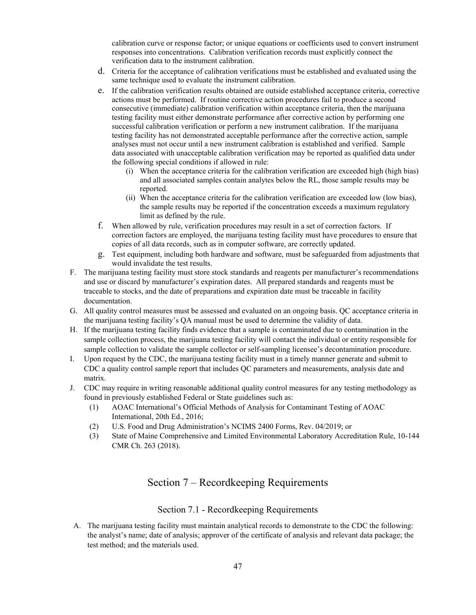calibration curve or response factor; or unique equations or coefficients used to convert instrument responses into concentrations. Calibration verification records must explicitly connect the verification data to the instrument calibration.

- d. Criteria for the acceptance of calibration verifications must be established and evaluated using the same technique used to evaluate the instrument calibration.
- e. If the calibration verification results obtained are outside established acceptance criteria, corrective actions must be performed. If routine corrective action procedures fail to produce a second consecutive (immediate) calibration verification within acceptance criteria, then the marijuana testing facility must either demonstrate performance after corrective action by performing one successful calibration verification or perform a new instrument calibration. If the marijuana testing facility has not demonstrated acceptable performance after the corrective action, sample analyses must not occur until a new instrument calibration is established and verified. Sample data associated with unacceptable calibration verification may be reported as qualified data under the following special conditions if allowed in rule:
	- (i) When the acceptance criteria for the calibration verification are exceeded high (high bias) and all associated samples contain analytes below the RL, those sample results may be reported.
	- (ii) When the acceptance criteria for the calibration verification are exceeded low (low bias), the sample results may be reported if the concentration exceeds a maximum regulatory limit as defined by the rule.
- f. When allowed by rule, verification procedures may result in a set of correction factors. If correction factors are employed, the marijuana testing facility must have procedures to ensure that copies of all data records, such as in computer software, are correctly updated.
- g. Test equipment, including both hardware and software, must be safeguarded from adjustments that would invalidate the test results.
- F. The marijuana testing facility must store stock standards and reagents per manufacturer's recommendations and use or discard by manufacturer's expiration dates. All prepared standards and reagents must be traceable to stocks, and the date of preparations and expiration date must be traceable in facility documentation.
- G. All quality control measures must be assessed and evaluated on an ongoing basis. QC acceptance criteria in the marijuana testing facility's QA manual must be used to determine the validity of data.
- H. If the marijuana testing facility finds evidence that a sample is contaminated due to contamination in the sample collection process, the marijuana testing facility will contact the individual or entity responsible for sample collection to validate the sample collector or self-sampling licensee's decontamination procedure.
- I. Upon request by the CDC, the marijuana testing facility must in a timely manner generate and submit to CDC a quality control sample report that includes QC parameters and measurements, analysis date and matrix.
- J. CDC may require in writing reasonable additional quality control measures for any testing methodology as found in previously established Federal or State guidelines such as:
	- (1) AOAC International's Official Methods of Analysis for Contaminant Testing of AOAC International, 20th Ed., 2016;
	- (2) U.S. Food and Drug Administration's NCIMS 2400 Forms, Rev. 04/2019; or
	- (3) State of Maine Comprehensive and Limited Environmental Laboratory Accreditation Rule, 10-144 CMR Ch. 263 (2018).

## Section 7 – Recordkeeping Requirements

### Section 7.1 - Recordkeeping Requirements

<span id="page-46-1"></span><span id="page-46-0"></span>A. The marijuana testing facility must maintain analytical records to demonstrate to the CDC the following: the analyst's name; date of analysis; approver of the certificate of analysis and relevant data package; the test method; and the materials used.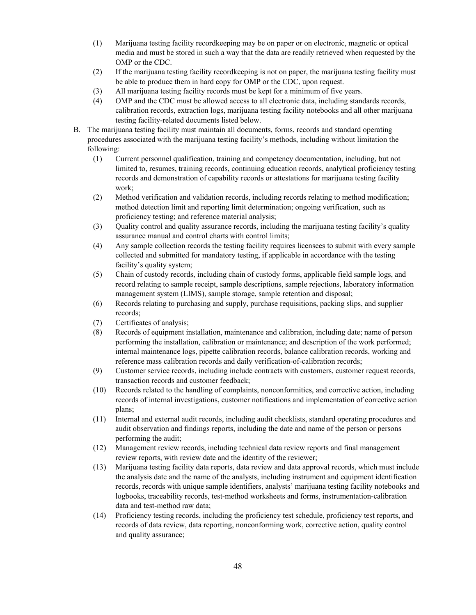- (1) Marijuana testing facility recordkeeping may be on paper or on electronic, magnetic or optical media and must be stored in such a way that the data are readily retrieved when requested by the OMP or the CDC.
- (2) If the marijuana testing facility recordkeeping is not on paper, the marijuana testing facility must be able to produce them in hard copy for OMP or the CDC, upon request.
- (3) All marijuana testing facility records must be kept for a minimum of five years.
- (4) OMP and the CDC must be allowed access to all electronic data, including standards records, calibration records, extraction logs, marijuana testing facility notebooks and all other marijuana testing facility-related documents listed below.
- B. The marijuana testing facility must maintain all documents, forms, records and standard operating procedures associated with the marijuana testing facility's methods, including without limitation the following:
	- (1) Current personnel qualification, training and competency documentation, including, but not limited to, resumes, training records, continuing education records, analytical proficiency testing records and demonstration of capability records or attestations for marijuana testing facility work;
	- (2) Method verification and validation records, including records relating to method modification; method detection limit and reporting limit determination; ongoing verification, such as proficiency testing; and reference material analysis;
	- (3) Quality control and quality assurance records, including the marijuana testing facility's quality assurance manual and control charts with control limits;
	- (4) Any sample collection records the testing facility requires licensees to submit with every sample collected and submitted for mandatory testing, if applicable in accordance with the testing facility's quality system;
	- (5) Chain of custody records, including chain of custody forms, applicable field sample logs, and record relating to sample receipt, sample descriptions, sample rejections, laboratory information management system (LIMS), sample storage, sample retention and disposal;
	- (6) Records relating to purchasing and supply, purchase requisitions, packing slips, and supplier records;
	- (7) Certificates of analysis;
	- (8) Records of equipment installation, maintenance and calibration, including date; name of person performing the installation, calibration or maintenance; and description of the work performed; internal maintenance logs, pipette calibration records, balance calibration records, working and reference mass calibration records and daily verification-of-calibration records;
	- (9) Customer service records, including include contracts with customers, customer request records, transaction records and customer feedback;
	- (10) Records related to the handling of complaints, nonconformities, and corrective action, including records of internal investigations, customer notifications and implementation of corrective action plans;
	- (11) Internal and external audit records, including audit checklists, standard operating procedures and audit observation and findings reports, including the date and name of the person or persons performing the audit;
	- (12) Management review records, including technical data review reports and final management review reports, with review date and the identity of the reviewer;
	- (13) Marijuana testing facility data reports, data review and data approval records, which must include the analysis date and the name of the analysts, including instrument and equipment identification records, records with unique sample identifiers, analysts' marijuana testing facility notebooks and logbooks, traceability records, test-method worksheets and forms, instrumentation-calibration data and test-method raw data;
	- (14) Proficiency testing records, including the proficiency test schedule, proficiency test reports, and records of data review, data reporting, nonconforming work, corrective action, quality control and quality assurance;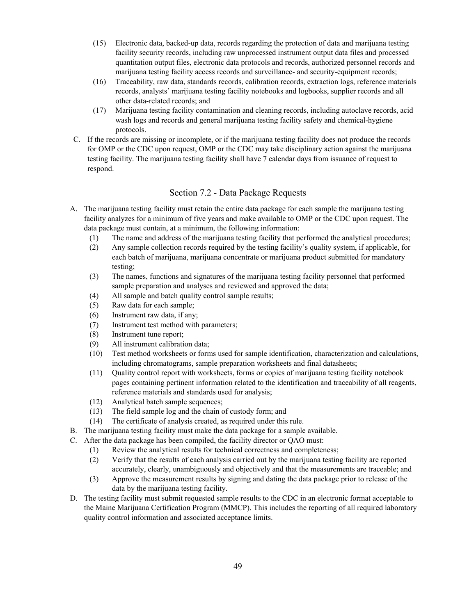- (15) Electronic data, backed-up data, records regarding the protection of data and marijuana testing facility security records, including raw unprocessed instrument output data files and processed quantitation output files, electronic data protocols and records, authorized personnel records and marijuana testing facility access records and surveillance- and security-equipment records;
- (16) Traceability, raw data, standards records, calibration records, extraction logs, reference materials records, analysts' marijuana testing facility notebooks and logbooks, supplier records and all other data-related records; and
- (17) Marijuana testing facility contamination and cleaning records, including autoclave records, acid wash logs and records and general marijuana testing facility safety and chemical-hygiene protocols.
- C. If the records are missing or incomplete, or if the marijuana testing facility does not produce the records for OMP or the CDC upon request, OMP or the CDC may take disciplinary action against the marijuana testing facility. The marijuana testing facility shall have 7 calendar days from issuance of request to respond.

### Section 7.2 - Data Package Requests

- <span id="page-48-0"></span>A. The marijuana testing facility must retain the entire data package for each sample the marijuana testing facility analyzes for a minimum of five years and make available to OMP or the CDC upon request. The data package must contain, at a minimum, the following information:
	- (1) The name and address of the marijuana testing facility that performed the analytical procedures;
	- (2) Any sample collection records required by the testing facility's quality system, if applicable, for each batch of marijuana, marijuana concentrate or marijuana product submitted for mandatory testing;
	- (3) The names, functions and signatures of the marijuana testing facility personnel that performed sample preparation and analyses and reviewed and approved the data;
	- (4) All sample and batch quality control sample results;
	- (5) Raw data for each sample;
	- (6) Instrument raw data, if any;
	- (7) Instrument test method with parameters;
	- (8) Instrument tune report;
	- (9) All instrument calibration data;
	- (10) Test method worksheets or forms used for sample identification, characterization and calculations, including chromatograms, sample preparation worksheets and final datasheets;
	- (11) Quality control report with worksheets, forms or copies of marijuana testing facility notebook pages containing pertinent information related to the identification and traceability of all reagents, reference materials and standards used for analysis;
	- (12) Analytical batch sample sequences;
	- (13) The field sample log and the chain of custody form; and
	- (14) The certificate of analysis created, as required under this rule.
- B. The marijuana testing facility must make the data package for a sample available.
- C. After the data package has been compiled, the facility director or QAO must:
	- (1) Review the analytical results for technical correctness and completeness;
	- (2) Verify that the results of each analysis carried out by the marijuana testing facility are reported accurately, clearly, unambiguously and objectively and that the measurements are traceable; and
	- (3) Approve the measurement results by signing and dating the data package prior to release of the data by the marijuana testing facility.
- D. The testing facility must submit requested sample results to the CDC in an electronic format acceptable to the Maine Marijuana Certification Program (MMCP). This includes the reporting of all required laboratory quality control information and associated acceptance limits.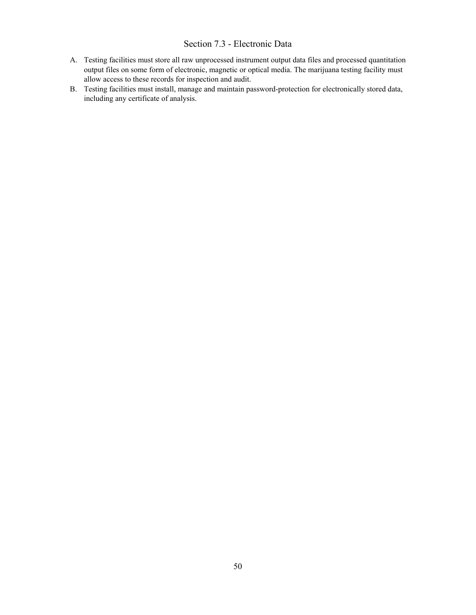### Section 7.3 - Electronic Data

- <span id="page-49-0"></span>A. Testing facilities must store all raw unprocessed instrument output data files and processed quantitation output files on some form of electronic, magnetic or optical media. The marijuana testing facility must allow access to these records for inspection and audit.
- B. Testing facilities must install, manage and maintain password-protection for electronically stored data, including any certificate of analysis.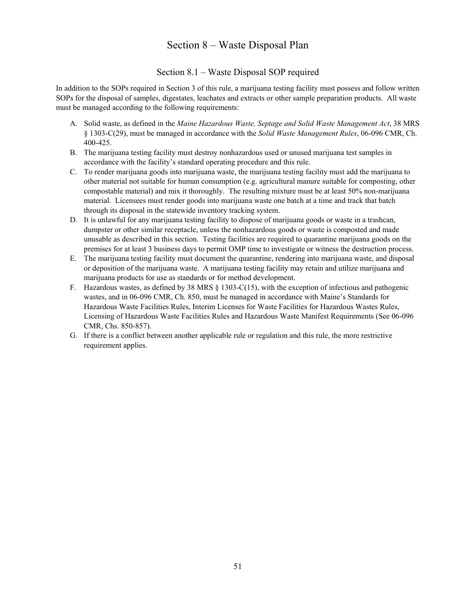## Section 8 – Waste Disposal Plan

## Section 8.1 – Waste Disposal SOP required

<span id="page-50-1"></span><span id="page-50-0"></span>In addition to the SOPs required in Section 3 of this rule, a marijuana testing facility must possess and follow written SOPs for the disposal of samples, digestates, leachates and extracts or other sample preparation products. All waste must be managed according to the following requirements:

- A. Solid waste, as defined in the *Maine Hazardous Waste, Septage and Solid Waste Management Act*, 38 MRS § 1303-C(29), must be managed in accordance with the *Solid Waste Management Rules*, 06-096 CMR, Ch. 400-425.
- B. The marijuana testing facility must destroy nonhazardous used or unused marijuana test samples in accordance with the facility's standard operating procedure and this rule.
- C. To render marijuana goods into marijuana waste, the marijuana testing facility must add the marijuana to other material not suitable for human consumption (e.g. agricultural manure suitable for composting, other compostable material) and mix it thoroughly. The resulting mixture must be at least 50% non-marijuana material. Licensees must render goods into marijuana waste one batch at a time and track that batch through its disposal in the statewide inventory tracking system.
- D. It is unlawful for any marijuana testing facility to dispose of marijuana goods or waste in a trashcan, dumpster or other similar receptacle, unless the nonhazardous goods or waste is composted and made unusable as described in this section. Testing facilities are required to quarantine marijuana goods on the premises for at least 3 business days to permit OMP time to investigate or witness the destruction process.
- E. The marijuana testing facility must document the quarantine, rendering into marijuana waste, and disposal or deposition of the marijuana waste. A marijuana testing facility may retain and utilize marijuana and marijuana products for use as standards or for method development.
- F. Hazardous wastes, as defined by 38 MRS § 1303-C(15), with the exception of infectious and pathogenic wastes, and in 06-096 CMR, Ch. 850, must be managed in accordance with Maine's Standards for Hazardous Waste Facilities Rules, Interim Licenses for Waste Facilities for Hazardous Wastes Rules, Licensing of Hazardous Waste Facilities Rules and Hazardous Waste Manifest Requirements (See 06-096 CMR, Chs. 850-857).
- G. If there is a conflict between another applicable rule or regulation and this rule, the more restrictive requirement applies.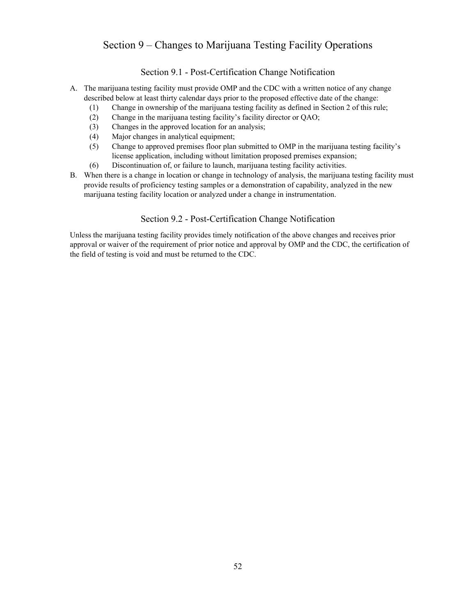## <span id="page-51-0"></span>Section 9 – Changes to Marijuana Testing Facility Operations

## Section 9.1 - Post-Certification Change Notification

- <span id="page-51-1"></span>A. The marijuana testing facility must provide OMP and the CDC with a written notice of any change described below at least thirty calendar days prior to the proposed effective date of the change:
	- (1) Change in ownership of the marijuana testing facility as defined in Section 2 of this rule;
	- (2) Change in the marijuana testing facility's facility director or QAO;
	- (3) Changes in the approved location for an analysis;
	- (4) Major changes in analytical equipment;
	- (5) Change to approved premises floor plan submitted to OMP in the marijuana testing facility's license application, including without limitation proposed premises expansion;
	- (6) Discontinuation of, or failure to launch, marijuana testing facility activities.
- <span id="page-51-2"></span>B. When there is a change in location or change in technology of analysis, the marijuana testing facility must provide results of proficiency testing samples or a demonstration of capability, analyzed in the new marijuana testing facility location or analyzed under a change in instrumentation.

## Section 9.2 - Post-Certification Change Notification

Unless the marijuana testing facility provides timely notification of the above changes and receives prior approval or waiver of the requirement of prior notice and approval by OMP and the CDC, the certification of the field of testing is void and must be returned to the CDC.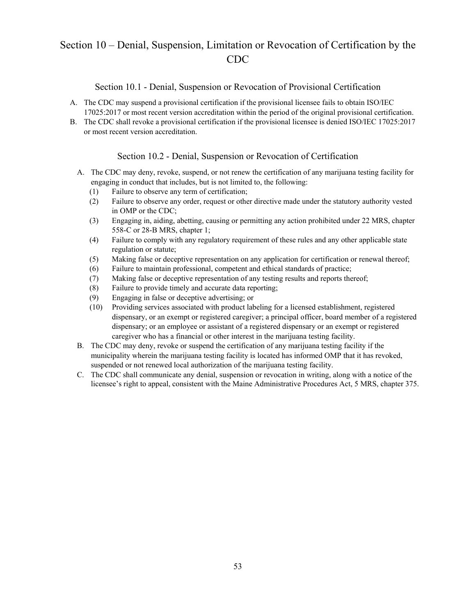## <span id="page-52-0"></span>Section 10 – Denial, Suspension, Limitation or Revocation of Certification by the CDC

### Section 10.1 - Denial, Suspension or Revocation of Provisional Certification

- <span id="page-52-1"></span>A. The CDC may suspend a provisional certification if the provisional licensee fails to obtain ISO/IEC 17025:2017 or most recent version accreditation within the period of the original provisional certification.
- <span id="page-52-2"></span>B. The CDC shall revoke a provisional certification if the provisional licensee is denied ISO/IEC 17025:2017 or most recent version accreditation.

### Section 10.2 - Denial, Suspension or Revocation of Certification

- A. The CDC may deny, revoke, suspend, or not renew the certification of any marijuana testing facility for engaging in conduct that includes, but is not limited to, the following:
	- (1) Failure to observe any term of certification;
	- (2) Failure to observe any order, request or other directive made under the statutory authority vested in OMP or the CDC;
	- (3) Engaging in, aiding, abetting, causing or permitting any action prohibited under 22 MRS, chapter 558-C or 28-B MRS, chapter 1;
	- (4) Failure to comply with any regulatory requirement of these rules and any other applicable state regulation or statute;
	- (5) Making false or deceptive representation on any application for certification or renewal thereof;
	- (6) Failure to maintain professional, competent and ethical standards of practice;
	- (7) Making false or deceptive representation of any testing results and reports thereof;
	- (8) Failure to provide timely and accurate data reporting;
	- (9) Engaging in false or deceptive advertising; or
	- (10) Providing services associated with product labeling for a licensed establishment, registered dispensary, or an exempt or registered caregiver; a principal officer, board member of a registered dispensary; or an employee or assistant of a registered dispensary or an exempt or registered caregiver who has a financial or other interest in the marijuana testing facility.
- B. The CDC may deny, revoke or suspend the certification of any marijuana testing facility if the municipality wherein the marijuana testing facility is located has informed OMP that it has revoked, suspended or not renewed local authorization of the marijuana testing facility.
- C. The CDC shall communicate any denial, suspension or revocation in writing, along with a notice of the licensee's right to appeal, consistent with the Maine Administrative Procedures Act, 5 MRS, chapter 375.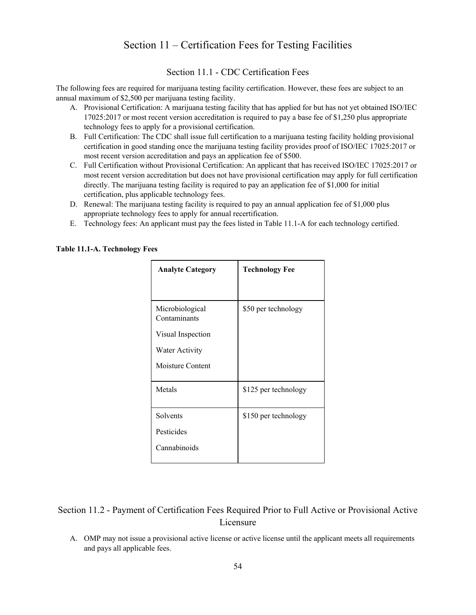## Section 11 – Certification Fees for Testing Facilities

Section 11.1 - CDC Certification Fees

<span id="page-53-1"></span><span id="page-53-0"></span>The following fees are required for marijuana testing facility certification. However, these fees are subject to an annual maximum of \$2,500 per marijuana testing facility.

- A. Provisional Certification: A marijuana testing facility that has applied for but has not yet obtained ISO/IEC 17025:2017 or most recent version accreditation is required to pay a base fee of \$1,250 plus appropriate technology fees to apply for a provisional certification.
- B. Full Certification: The CDC shall issue full certification to a marijuana testing facility holding provisional certification in good standing once the marijuana testing facility provides proof of ISO/IEC 17025:2017 or most recent version accreditation and pays an application fee of \$500.
- C. Full Certification without Provisional Certification: An applicant that has received ISO/IEC 17025:2017 or most recent version accreditation but does not have provisional certification may apply for full certification directly. The marijuana testing facility is required to pay an application fee of \$1,000 for initial certification, plus applicable technology fees.
- D. Renewal: The marijuana testing facility is required to pay an annual application fee of \$1,000 plus appropriate technology fees to apply for annual recertification.
- E. Technology fees: An applicant must pay the fees listed in Table 11.1-A for each technology certified.

**Analyte Category Technology Fee** Microbiological Contaminants Visual Inspection Water Activity Moisture Content \$50 per technology Metals <br>  $$125$  per technology Solvents Pesticides Cannabinoids \$150 per technology

#### **Table 11.1-A. Technology Fees**

<span id="page-53-2"></span>Section 11.2 - Payment of Certification Fees Required Prior to Full Active or Provisional Active Licensure

A. OMP may not issue a provisional active license or active license until the applicant meets all requirements and pays all applicable fees.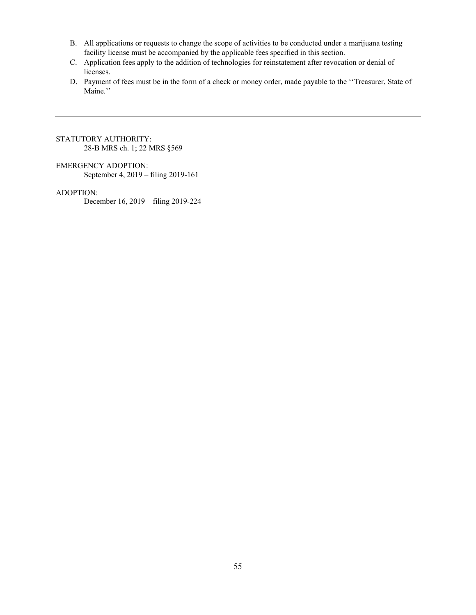- B. All applications or requests to change the scope of activities to be conducted under a marijuana testing facility license must be accompanied by the applicable fees specified in this section.
- C. Application fees apply to the addition of technologies for reinstatement after revocation or denial of licenses.
- D. Payment of fees must be in the form of a check or money order, made payable to the ''Treasurer, State of Maine.''

#### STATUTORY AUTHORITY: 28-B MRS ch. 1; 22 MRS §569

#### EMERGENCY ADOPTION:

September 4, 2019 – filing 2019-161

### ADOPTION:

December 16, 2019 – filing 2019-224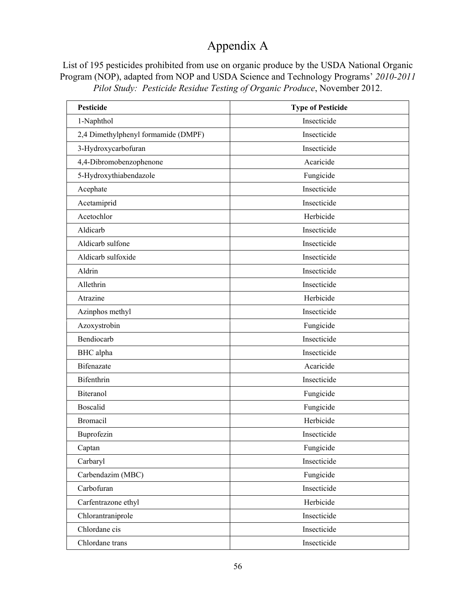# Appendix A

<span id="page-55-0"></span>List of 195 pesticides prohibited from use on organic produce by the USDA National Organic Program (NOP), adapted from NOP and USDA Science and Technology Programs' *2010-2011 Pilot Study: Pesticide Residue Testing of Organic Produce*, November 2012.

| <b>Pesticide</b>                    | <b>Type of Pesticide</b> |
|-------------------------------------|--------------------------|
| 1-Naphthol                          | Insecticide              |
| 2,4 Dimethylphenyl formamide (DMPF) | Insecticide              |
| 3-Hydroxycarbofuran                 | Insecticide              |
| 4,4-Dibromobenzophenone             | Acaricide                |
| 5-Hydroxythiabendazole              | Fungicide                |
| Acephate                            | Insecticide              |
| Acetamiprid                         | Insecticide              |
| Acetochlor                          | Herbicide                |
| Aldicarb                            | Insecticide              |
| Aldicarb sulfone                    | Insecticide              |
| Aldicarb sulfoxide                  | Insecticide              |
| Aldrin                              | Insecticide              |
| Allethrin                           | Insecticide              |
| Atrazine                            | Herbicide                |
| Azinphos methyl                     | Insecticide              |
| Azoxystrobin                        | Fungicide                |
| Bendiocarb                          | Insecticide              |
| BHC alpha                           | Insecticide              |
| <b>Bifenazate</b>                   | Acaricide                |
| Bifenthrin                          | Insecticide              |
| Biteranol                           | Fungicide                |
| <b>Boscalid</b>                     | Fungicide                |
| Bromacil                            | Herbicide                |
| Buprofezin                          | Insecticide              |
| Captan                              | Fungicide                |
| Carbaryl                            | Insecticide              |
| Carbendazim (MBC)                   | Fungicide                |
| Carbofuran                          | Insecticide              |
| Carfentrazone ethyl                 | Herbicide                |
| Chlorantraniprole                   | Insecticide              |
| Chlordane cis                       | Insecticide              |
| Chlordane trans                     | Insecticide              |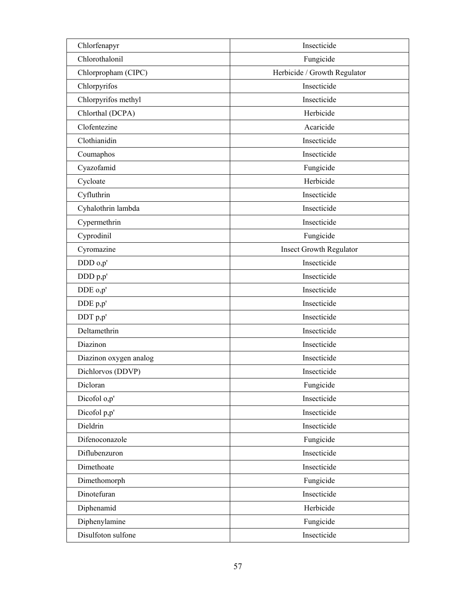| Chlorfenapyr           | Insecticide                  |
|------------------------|------------------------------|
| Chlorothalonil         | Fungicide                    |
| Chlorpropham (CIPC)    | Herbicide / Growth Regulator |
| Chlorpyrifos           | Insecticide                  |
| Chlorpyrifos methyl    | Insecticide                  |
| Chlorthal (DCPA)       | Herbicide                    |
| Clofentezine           | Acaricide                    |
| Clothianidin           | Insecticide                  |
| Coumaphos              | Insecticide                  |
| Cyazofamid             | Fungicide                    |
| Cycloate               | Herbicide                    |
| Cyfluthrin             | Insecticide                  |
| Cyhalothrin lambda     | Insecticide                  |
| Cypermethrin           | Insecticide                  |
| Cyprodinil             | Fungicide                    |
| Cyromazine             | Insect Growth Regulator      |
| DDD o,p'               | Insecticide                  |
| DDD p,p'               | Insecticide                  |
| DDE o,p'               | Insecticide                  |
| DDE p,p'               | Insecticide                  |
| DDT p,p'               | Insecticide                  |
| Deltamethrin           | Insecticide                  |
| Diazinon               | Insecticide                  |
| Diazinon oxygen analog | Insecticide                  |
| Dichlorvos (DDVP)      | Insecticide                  |
| Dicloran               | Fungicide                    |
| Dicofol o,p'           | Insecticide                  |
| Dicofol p,p'           | Insecticide                  |
| Dieldrin               | Insecticide                  |
| Difenoconazole         | Fungicide                    |
| Diflubenzuron          | Insecticide                  |
| Dimethoate             | Insecticide                  |
| Dimethomorph           | Fungicide                    |
| Dinotefuran            | Insecticide                  |
| Diphenamid             | Herbicide                    |
| Diphenylamine          | Fungicide                    |
| Disulfoton sulfone     | Insecticide                  |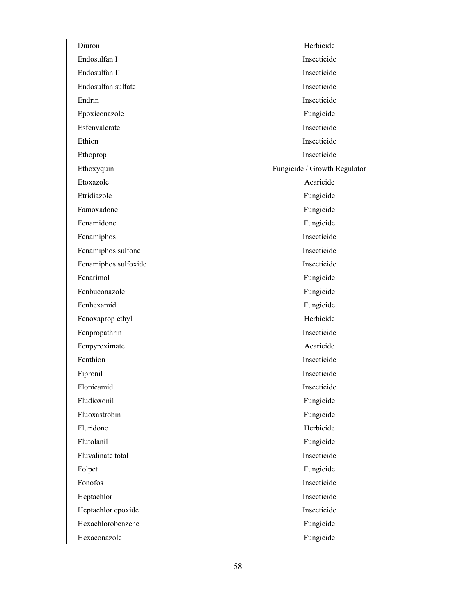| Diuron               | Herbicide                    |
|----------------------|------------------------------|
| Endosulfan I         | Insecticide                  |
| Endosulfan II        | Insecticide                  |
| Endosulfan sulfate   | Insecticide                  |
| Endrin               | Insecticide                  |
| Epoxiconazole        | Fungicide                    |
| Esfenvalerate        | Insecticide                  |
| Ethion               | Insecticide                  |
| Ethoprop             | Insecticide                  |
| Ethoxyquin           | Fungicide / Growth Regulator |
| Etoxazole            | Acaricide                    |
| Etridiazole          | Fungicide                    |
| Famoxadone           | Fungicide                    |
| Fenamidone           | Fungicide                    |
| Fenamiphos           | Insecticide                  |
| Fenamiphos sulfone   | Insecticide                  |
| Fenamiphos sulfoxide | Insecticide                  |
| Fenarimol            | Fungicide                    |
| Fenbuconazole        | Fungicide                    |
| Fenhexamid           | Fungicide                    |
| Fenoxaprop ethyl     | Herbicide                    |
| Fenpropathrin        | Insecticide                  |
| Fenpyroximate        | Acaricide                    |
| Fenthion             | Insecticide                  |
| Fipronil             | Insecticide                  |
| Flonicamid           | Insecticide                  |
| Fludioxonil          | Fungicide                    |
| Fluoxastrobin        | Fungicide                    |
| Fluridone            | Herbicide                    |
| Flutolanil           | Fungicide                    |
| Fluvalinate total    | Insecticide                  |
| Folpet               | Fungicide                    |
| Fonofos              | Insecticide                  |
| Heptachlor           | Insecticide                  |
| Heptachlor epoxide   | Insecticide                  |
| Hexachlorobenzene    | Fungicide                    |
| Hexaconazole         | Fungicide                    |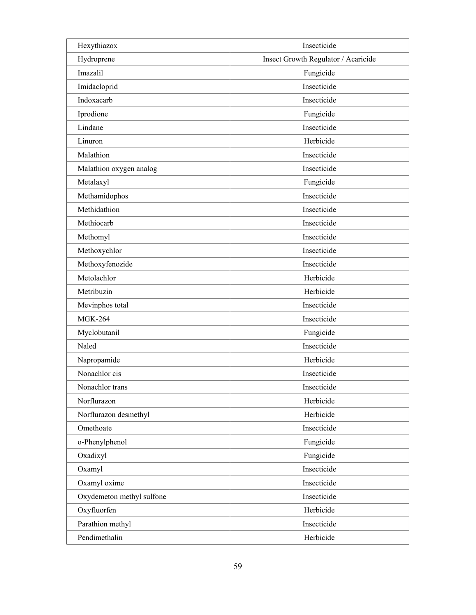| Hexythiazox               | Insecticide                         |
|---------------------------|-------------------------------------|
| Hydroprene                | Insect Growth Regulator / Acaricide |
| Imazalil                  | Fungicide                           |
| Imidacloprid              | Insecticide                         |
| Indoxacarb                | Insecticide                         |
| Iprodione                 | Fungicide                           |
| Lindane                   | Insecticide                         |
| Linuron                   | Herbicide                           |
| Malathion                 | Insecticide                         |
| Malathion oxygen analog   | Insecticide                         |
| Metalaxyl                 | Fungicide                           |
| Methamidophos             | Insecticide                         |
| Methidathion              | Insecticide                         |
| Methiocarb                | Insecticide                         |
| Methomyl                  | Insecticide                         |
| Methoxychlor              | Insecticide                         |
| Methoxyfenozide           | Insecticide                         |
| Metolachlor               | Herbicide                           |
| Metribuzin                | Herbicide                           |
| Mevinphos total           | Insecticide                         |
| <b>MGK-264</b>            | Insecticide                         |
| Myclobutanil              | Fungicide                           |
| Naled                     | Insecticide                         |
| Napropamide               | Herbicide                           |
| Nonachlor cis             | Insecticide                         |
| Nonachlor trans           | Insecticide                         |
| Norflurazon               | Herbicide                           |
| Norflurazon desmethyl     | Herbicide                           |
| Omethoate                 | Insecticide                         |
| o-Phenylphenol            | Fungicide                           |
| Oxadixyl                  | Fungicide                           |
| Oxamyl                    | Insecticide                         |
| Oxamyl oxime              | Insecticide                         |
| Oxydemeton methyl sulfone | Insecticide                         |
| Oxyfluorfen               | Herbicide                           |
| Parathion methyl          | Insecticide                         |
| Pendimethalin             | Herbicide                           |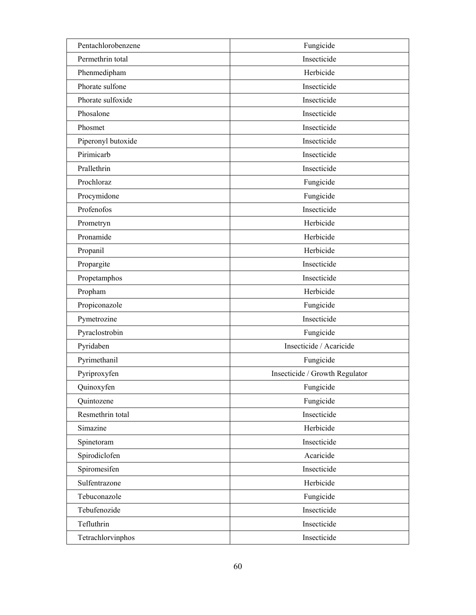| Pentachlorobenzene | Fungicide                      |
|--------------------|--------------------------------|
| Permethrin total   | Insecticide                    |
| Phenmedipham       | Herbicide                      |
| Phorate sulfone    | Insecticide                    |
| Phorate sulfoxide  | Insecticide                    |
| Phosalone          | Insecticide                    |
| Phosmet            | Insecticide                    |
| Piperonyl butoxide | Insecticide                    |
| Pirimicarb         | Insecticide                    |
| Prallethrin        | Insecticide                    |
| Prochloraz         | Fungicide                      |
| Procymidone        | Fungicide                      |
| Profenofos         | Insecticide                    |
| Prometryn          | Herbicide                      |
| Pronamide          | Herbicide                      |
| Propanil           | Herbicide                      |
| Propargite         | Insecticide                    |
| Propetamphos       | Insecticide                    |
| Propham            | Herbicide                      |
| Propiconazole      | Fungicide                      |
| Pymetrozine        | Insecticide                    |
| Pyraclostrobin     | Fungicide                      |
| Pyridaben          | Insecticide / Acaricide        |
| Pyrimethanil       | Fungicide                      |
| Pyriproxyfen       | Insecticide / Growth Regulator |
| Quinoxyfen         | Fungicide                      |
| Quintozene         | Fungicide                      |
| Resmethrin total   | Insecticide                    |
| Simazine           | Herbicide                      |
| Spinetoram         | Insecticide                    |
| Spirodiclofen      | Acaricide                      |
| Spiromesifen       | Insecticide                    |
| Sulfentrazone      | Herbicide                      |
| Tebuconazole       | Fungicide                      |
| Tebufenozide       | Insecticide                    |
| Tefluthrin         | Insecticide                    |
| Tetrachlorvinphos  | Insecticide                    |